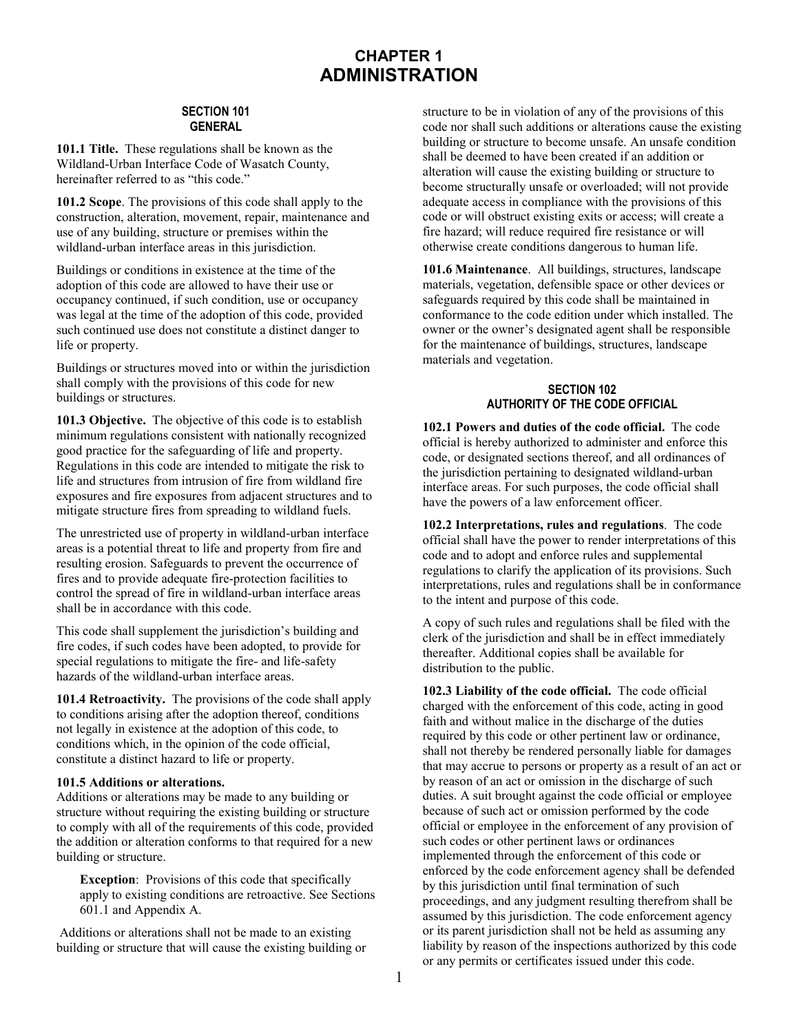## **CHAPTER 1 ADMINISTRATION**

### **SECTION 101 GENERAL**

**101.1 Title.** These regulations shall be known as the Wildland-Urban Interface Code of Wasatch County, hereinafter referred to as "this code."

**101.2 Scope**. The provisions of this code shall apply to the construction, alteration, movement, repair, maintenance and use of any building, structure or premises within the wildland-urban interface areas in this jurisdiction.

Buildings or conditions in existence at the time of the adoption of this code are allowed to have their use or occupancy continued, if such condition, use or occupancy was legal at the time of the adoption of this code, provided such continued use does not constitute a distinct danger to life or property.

Buildings or structures moved into or within the jurisdiction shall comply with the provisions of this code for new buildings or structures.

**101.3 Objective.** The objective of this code is to establish minimum regulations consistent with nationally recognized good practice for the safeguarding of life and property. Regulations in this code are intended to mitigate the risk to life and structures from intrusion of fire from wildland fire exposures and fire exposures from adjacent structures and to mitigate structure fires from spreading to wildland fuels.

The unrestricted use of property in wildland-urban interface areas is a potential threat to life and property from fire and resulting erosion. Safeguards to prevent the occurrence of fires and to provide adequate fire-protection facilities to control the spread of fire in wildland-urban interface areas shall be in accordance with this code.

This code shall supplement the jurisdiction's building and fire codes, if such codes have been adopted, to provide for special regulations to mitigate the fire- and life-safety hazards of the wildland-urban interface areas.

**101.4 Retroactivity.** The provisions of the code shall apply to conditions arising after the adoption thereof, conditions not legally in existence at the adoption of this code, to conditions which, in the opinion of the code official, constitute a distinct hazard to life or property.

### **101.5 Additions or alterations.**

Additions or alterations may be made to any building or structure without requiring the existing building or structure to comply with all of the requirements of this code, provided the addition or alteration conforms to that required for a new building or structure.

**Exception:** Provisions of this code that specifically apply to existing conditions are retroactive. See Sections 601.1 and Appendix A.

Additions or alterations shall not be made to an existing building or structure that will cause the existing building or structure to be in violation of any of the provisions of this code nor shall such additions or alterations cause the existing building or structure to become unsafe. An unsafe condition shall be deemed to have been created if an addition or alteration will cause the existing building or structure to become structurally unsafe or overloaded; will not provide adequate access in compliance with the provisions of this code or will obstruct existing exits or access; will create a fire hazard; will reduce required fire resistance or will otherwise create conditions dangerous to human life.

**101.6 Maintenance**. All buildings, structures, landscape materials, vegetation, defensible space or other devices or safeguards required by this code shall be maintained in conformance to the code edition under which installed. The owner or the owner's designated agent shall be responsible for the maintenance of buildings, structures, landscape materials and vegetation.

## **SECTION 102 AUTHORITY OF THE CODE OFFICIAL**

**102.1 Powers and duties of the code official.** The code official is hereby authorized to administer and enforce this code, or designated sections thereof, and all ordinances of the jurisdiction pertaining to designated wildland-urban interface areas. For such purposes, the code official shall have the powers of a law enforcement officer.

**102.2 Interpretations, rules and regulations**. The code official shall have the power to render interpretations of this code and to adopt and enforce rules and supplemental regulations to clarify the application of its provisions. Such interpretations, rules and regulations shall be in conformance to the intent and purpose of this code.

A copy of such rules and regulations shall be filed with the clerk of the jurisdiction and shall be in effect immediately thereafter. Additional copies shall be available for distribution to the public.

**102.3 Liability of the code official.** The code official charged with the enforcement of this code, acting in good faith and without malice in the discharge of the duties required by this code or other pertinent law or ordinance, shall not thereby be rendered personally liable for damages that may accrue to persons or property as a result of an act or by reason of an act or omission in the discharge of such duties. A suit brought against the code official or employee because of such act or omission performed by the code official or employee in the enforcement of any provision of such codes or other pertinent laws or ordinances implemented through the enforcement of this code or enforced by the code enforcement agency shall be defended by this jurisdiction until final termination of such proceedings, and any judgment resulting therefrom shall be assumed by this jurisdiction. The code enforcement agency or its parent jurisdiction shall not be held as assuming any liability by reason of the inspections authorized by this code or any permits or certificates issued under this code.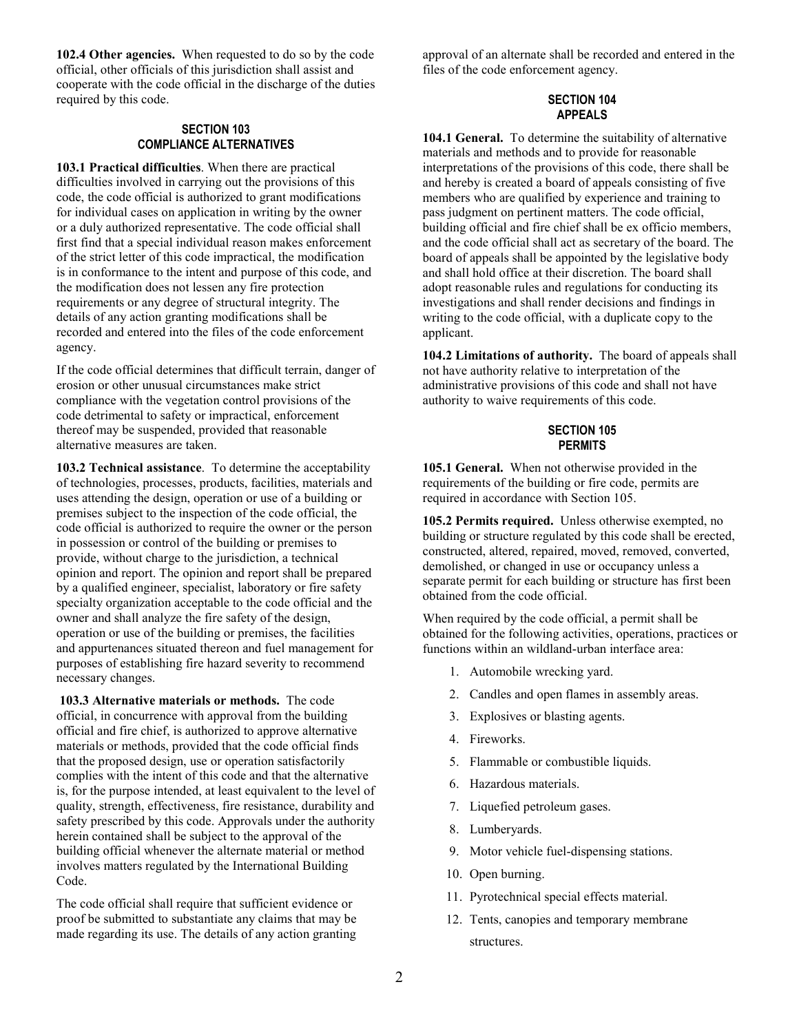**102.4 Other agencies.** When requested to do so by the code official, other officials of this jurisdiction shall assist and cooperate with the code official in the discharge of the duties required by this code.

### **SECTION 103 COMPLIANCE ALTERNATIVES**

**103.1 Practical difficulties**. When there are practical difficulties involved in carrying out the provisions of this code, the code official is authorized to grant modifications for individual cases on application in writing by the owner or a duly authorized representative. The code official shall first find that a special individual reason makes enforcement of the strict letter of this code impractical, the modification is in conformance to the intent and purpose of this code, and the modification does not lessen any fire protection requirements or any degree of structural integrity. The details of any action granting modifications shall be recorded and entered into the files of the code enforcement agency.

If the code official determines that difficult terrain, danger of erosion or other unusual circumstances make strict compliance with the vegetation control provisions of the code detrimental to safety or impractical, enforcement thereof may be suspended, provided that reasonable alternative measures are taken.

**103.2 Technical assistance**. To determine the acceptability of technologies, processes, products, facilities, materials and uses attending the design, operation or use of a building or premises subject to the inspection of the code official, the code official is authorized to require the owner or the person in possession or control of the building or premises to provide, without charge to the jurisdiction, a technical opinion and report. The opinion and report shall be prepared by a qualified engineer, specialist, laboratory or fire safety specialty organization acceptable to the code official and the owner and shall analyze the fire safety of the design, operation or use of the building or premises, the facilities and appurtenances situated thereon and fuel management for purposes of establishing fire hazard severity to recommend necessary changes.

**103.3 Alternative materials or methods.** The code official, in concurrence with approval from the building official and fire chief, is authorized to approve alternative materials or methods, provided that the code official finds that the proposed design, use or operation satisfactorily complies with the intent of this code and that the alternative is, for the purpose intended, at least equivalent to the level of quality, strength, effectiveness, fire resistance, durability and safety prescribed by this code. Approvals under the authority herein contained shall be subject to the approval of the building official whenever the alternate material or method involves matters regulated by the International Building Code.

The code official shall require that sufficient evidence or proof be submitted to substantiate any claims that may be made regarding its use. The details of any action granting approval of an alternate shall be recorded and entered in the files of the code enforcement agency.

## **SECTION 104 APPEALS**

**104.1 General.** To determine the suitability of alternative materials and methods and to provide for reasonable interpretations of the provisions of this code, there shall be and hereby is created a board of appeals consisting of five members who are qualified by experience and training to pass judgment on pertinent matters. The code official, building official and fire chief shall be ex officio members, and the code official shall act as secretary of the board. The board of appeals shall be appointed by the legislative body and shall hold office at their discretion. The board shall adopt reasonable rules and regulations for conducting its investigations and shall render decisions and findings in writing to the code official, with a duplicate copy to the applicant.

**104.2 Limitations of authority.** The board of appeals shall not have authority relative to interpretation of the administrative provisions of this code and shall not have authority to waive requirements of this code.

## **SECTION 105 PERMITS**

**105.1 General.** When not otherwise provided in the requirements of the building or fire code, permits are required in accordance with Section 105.

**105.2 Permits required.** Unless otherwise exempted, no building or structure regulated by this code shall be erected, constructed, altered, repaired, moved, removed, converted, demolished, or changed in use or occupancy unless a separate permit for each building or structure has first been obtained from the code official.

When required by the code official, a permit shall be obtained for the following activities, operations, practices or functions within an wildland-urban interface area:

- 1. Automobile wrecking yard.
- 2. Candles and open flames in assembly areas.
- 3. Explosives or blasting agents.
- 4. Fireworks.
- 5. Flammable or combustible liquids.
- 6. Hazardous materials.
- 7. Liquefied petroleum gases.
- 8. Lumberyards.
- 9. Motor vehicle fuel-dispensing stations.
- 10. Open burning.
- 11. Pyrotechnical special effects material.
- 12. Tents, canopies and temporary membrane structures.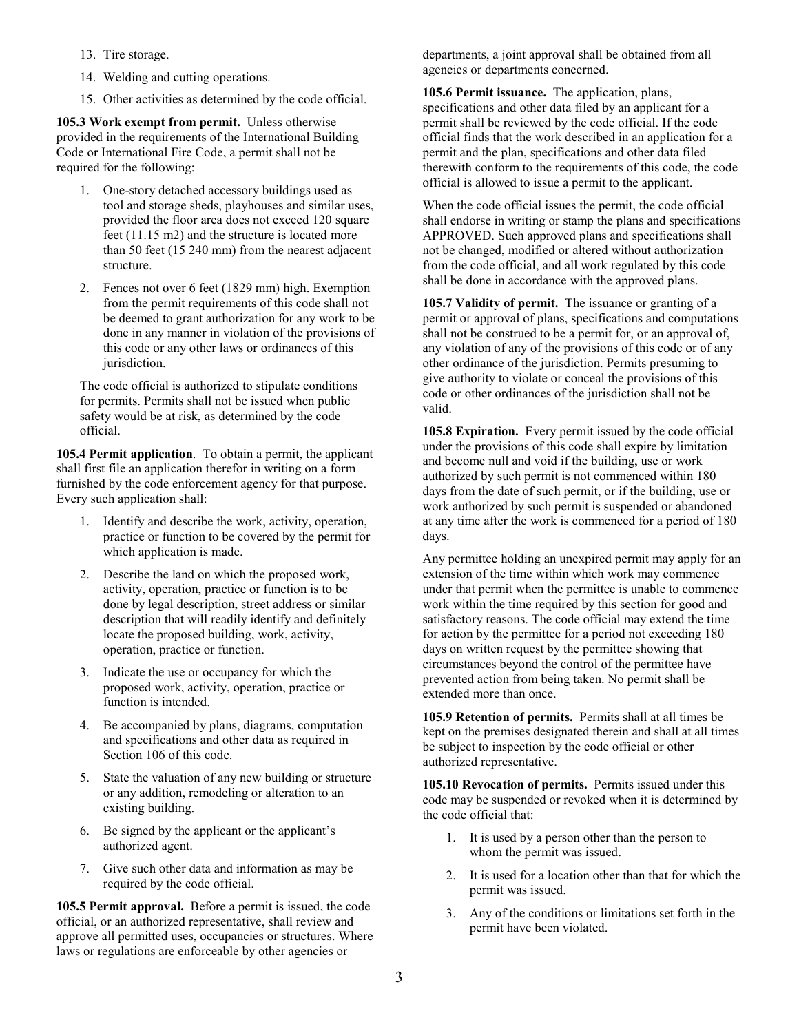- 13. Tire storage.
- 14. Welding and cutting operations.
- 15. Other activities as determined by the code official.

**105.3 Work exempt from permit.** Unless otherwise provided in the requirements of the International Building Code or International Fire Code, a permit shall not be required for the following:

- 1. One-story detached accessory buildings used as tool and storage sheds, playhouses and similar uses, provided the floor area does not exceed 120 square feet (11.15 m2) and the structure is located more than 50 feet (15 240 mm) from the nearest adjacent structure.
- 2. Fences not over 6 feet (1829 mm) high. Exemption from the permit requirements of this code shall not be deemed to grant authorization for any work to be done in any manner in violation of the provisions of this code or any other laws or ordinances of this jurisdiction.

The code official is authorized to stipulate conditions for permits. Permits shall not be issued when public safety would be at risk, as determined by the code official.

**105.4 Permit application**. To obtain a permit, the applicant shall first file an application therefor in writing on a form furnished by the code enforcement agency for that purpose. Every such application shall:

- 1. Identify and describe the work, activity, operation, practice or function to be covered by the permit for which application is made.
- 2. Describe the land on which the proposed work, activity, operation, practice or function is to be done by legal description, street address or similar description that will readily identify and definitely locate the proposed building, work, activity, operation, practice or function.
- 3. Indicate the use or occupancy for which the proposed work, activity, operation, practice or function is intended.
- 4. Be accompanied by plans, diagrams, computation and specifications and other data as required in Section 106 of this code.
- 5. State the valuation of any new building or structure or any addition, remodeling or alteration to an existing building.
- 6. Be signed by the applicant or the applicant's authorized agent.
- 7. Give such other data and information as may be required by the code official.

**105.5 Permit approval.** Before a permit is issued, the code official, or an authorized representative, shall review and approve all permitted uses, occupancies or structures. Where laws or regulations are enforceable by other agencies or

departments, a joint approval shall be obtained from all agencies or departments concerned.

**105.6 Permit issuance.** The application, plans, specifications and other data filed by an applicant for a permit shall be reviewed by the code official. If the code official finds that the work described in an application for a permit and the plan, specifications and other data filed therewith conform to the requirements of this code, the code official is allowed to issue a permit to the applicant.

When the code official issues the permit, the code official shall endorse in writing or stamp the plans and specifications APPROVED. Such approved plans and specifications shall not be changed, modified or altered without authorization from the code official, and all work regulated by this code shall be done in accordance with the approved plans.

**105.7 Validity of permit.** The issuance or granting of a permit or approval of plans, specifications and computations shall not be construed to be a permit for, or an approval of, any violation of any of the provisions of this code or of any other ordinance of the jurisdiction. Permits presuming to give authority to violate or conceal the provisions of this code or other ordinances of the jurisdiction shall not be valid.

**105.8 Expiration.** Every permit issued by the code official under the provisions of this code shall expire by limitation and become null and void if the building, use or work authorized by such permit is not commenced within 180 days from the date of such permit, or if the building, use or work authorized by such permit is suspended or abandoned at any time after the work is commenced for a period of 180 days.

Any permittee holding an unexpired permit may apply for an extension of the time within which work may commence under that permit when the permittee is unable to commence work within the time required by this section for good and satisfactory reasons. The code official may extend the time for action by the permittee for a period not exceeding 180 days on written request by the permittee showing that circumstances beyond the control of the permittee have prevented action from being taken. No permit shall be extended more than once.

**105.9 Retention of permits.** Permits shall at all times be kept on the premises designated therein and shall at all times be subject to inspection by the code official or other authorized representative.

**105.10 Revocation of permits.** Permits issued under this code may be suspended or revoked when it is determined by the code official that:

- 1. It is used by a person other than the person to whom the permit was issued.
- 2. It is used for a location other than that for which the permit was issued.
- 3. Any of the conditions or limitations set forth in the permit have been violated.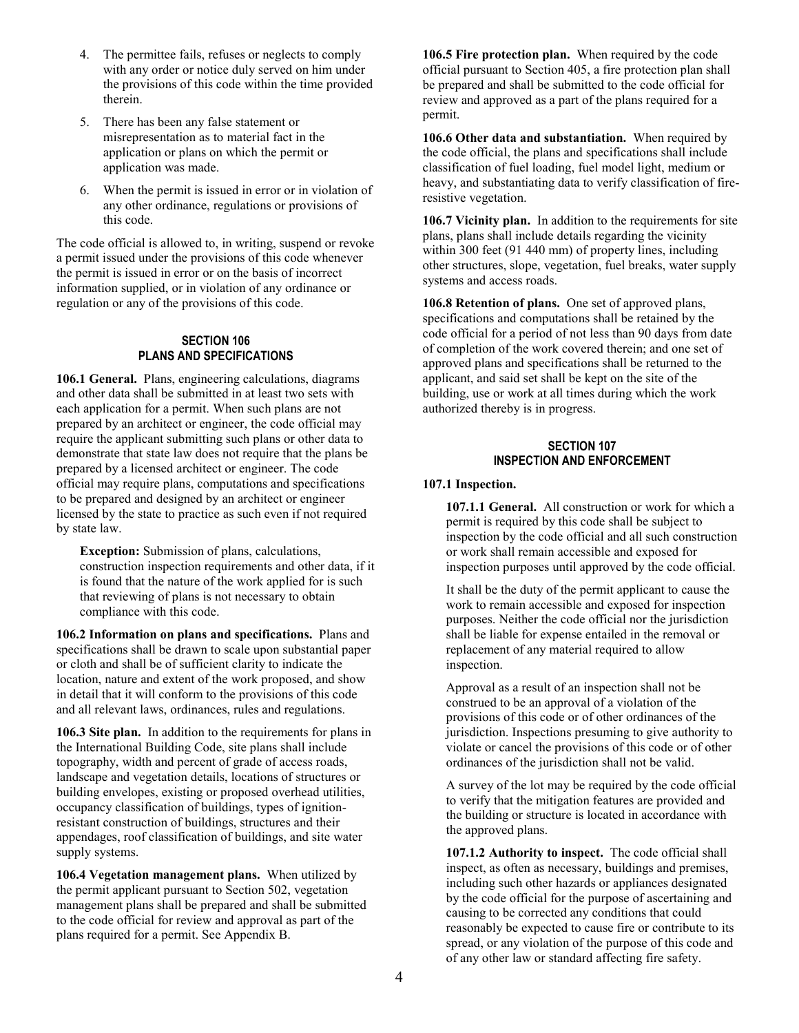- 4. The permittee fails, refuses or neglects to comply with any order or notice duly served on him under the provisions of this code within the time provided therein.
- 5. There has been any false statement or misrepresentation as to material fact in the application or plans on which the permit or application was made.
- 6. When the permit is issued in error or in violation of any other ordinance, regulations or provisions of this code.

The code official is allowed to, in writing, suspend or revoke a permit issued under the provisions of this code whenever the permit is issued in error or on the basis of incorrect information supplied, or in violation of any ordinance or regulation or any of the provisions of this code.

## **SECTION 106 PLANS AND SPECIFICATIONS**

**106.1 General.** Plans, engineering calculations, diagrams and other data shall be submitted in at least two sets with each application for a permit. When such plans are not prepared by an architect or engineer, the code official may require the applicant submitting such plans or other data to demonstrate that state law does not require that the plans be prepared by a licensed architect or engineer. The code official may require plans, computations and specifications to be prepared and designed by an architect or engineer licensed by the state to practice as such even if not required by state law.

**Exception:** Submission of plans, calculations, construction inspection requirements and other data, if it is found that the nature of the work applied for is such that reviewing of plans is not necessary to obtain compliance with this code.

**106.2 Information on plans and specifications.** Plans and specifications shall be drawn to scale upon substantial paper or cloth and shall be of sufficient clarity to indicate the location, nature and extent of the work proposed, and show in detail that it will conform to the provisions of this code and all relevant laws, ordinances, rules and regulations.

**106.3 Site plan.** In addition to the requirements for plans in the International Building Code, site plans shall include topography, width and percent of grade of access roads, landscape and vegetation details, locations of structures or building envelopes, existing or proposed overhead utilities, occupancy classification of buildings, types of ignitionresistant construction of buildings, structures and their appendages, roof classification of buildings, and site water supply systems.

**106.4 Vegetation management plans.** When utilized by the permit applicant pursuant to Section 502, vegetation management plans shall be prepared and shall be submitted to the code official for review and approval as part of the plans required for a permit. See Appendix B.

**106.5 Fire protection plan.** When required by the code official pursuant to Section 405, a fire protection plan shall be prepared and shall be submitted to the code official for review and approved as a part of the plans required for a permit.

**106.6 Other data and substantiation.** When required by the code official, the plans and specifications shall include classification of fuel loading, fuel model light, medium or heavy, and substantiating data to verify classification of fireresistive vegetation.

**106.7 Vicinity plan.** In addition to the requirements for site plans, plans shall include details regarding the vicinity within 300 feet (91 440 mm) of property lines, including other structures, slope, vegetation, fuel breaks, water supply systems and access roads.

**106.8 Retention of plans.** One set of approved plans, specifications and computations shall be retained by the code official for a period of not less than 90 days from date of completion of the work covered therein; and one set of approved plans and specifications shall be returned to the applicant, and said set shall be kept on the site of the building, use or work at all times during which the work authorized thereby is in progress.

## **SECTION 107 INSPECTION AND ENFORCEMENT**

## **107.1 Inspection.**

**107.1.1 General.** All construction or work for which a permit is required by this code shall be subject to inspection by the code official and all such construction or work shall remain accessible and exposed for inspection purposes until approved by the code official.

It shall be the duty of the permit applicant to cause the work to remain accessible and exposed for inspection purposes. Neither the code official nor the jurisdiction shall be liable for expense entailed in the removal or replacement of any material required to allow inspection.

Approval as a result of an inspection shall not be construed to be an approval of a violation of the provisions of this code or of other ordinances of the jurisdiction. Inspections presuming to give authority to violate or cancel the provisions of this code or of other ordinances of the jurisdiction shall not be valid.

A survey of the lot may be required by the code official to verify that the mitigation features are provided and the building or structure is located in accordance with the approved plans.

**107.1.2 Authority to inspect.** The code official shall inspect, as often as necessary, buildings and premises, including such other hazards or appliances designated by the code official for the purpose of ascertaining and causing to be corrected any conditions that could reasonably be expected to cause fire or contribute to its spread, or any violation of the purpose of this code and of any other law or standard affecting fire safety.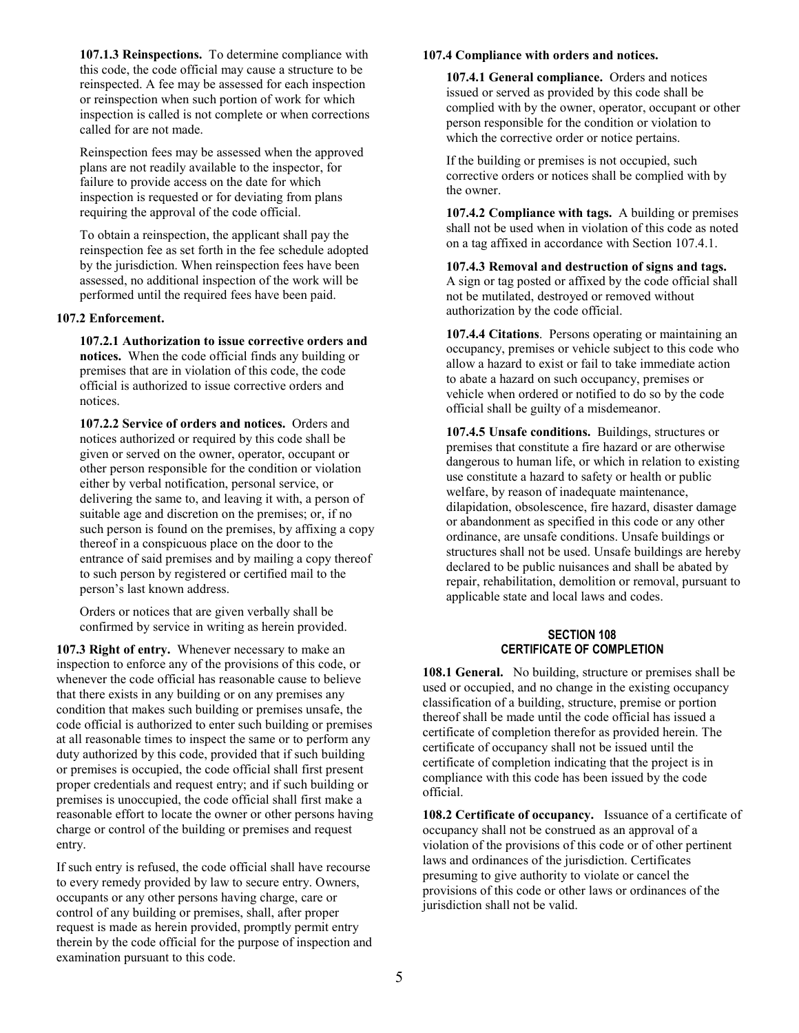**107.1.3 Reinspections.** To determine compliance with this code, the code official may cause a structure to be reinspected. A fee may be assessed for each inspection or reinspection when such portion of work for which inspection is called is not complete or when corrections called for are not made.

Reinspection fees may be assessed when the approved plans are not readily available to the inspector, for failure to provide access on the date for which inspection is requested or for deviating from plans requiring the approval of the code official.

To obtain a reinspection, the applicant shall pay the reinspection fee as set forth in the fee schedule adopted by the jurisdiction. When reinspection fees have been assessed, no additional inspection of the work will be performed until the required fees have been paid.

#### **107.2 Enforcement.**

**107.2.1 Authorization to issue corrective orders and notices.** When the code official finds any building or premises that are in violation of this code, the code official is authorized to issue corrective orders and notices.

**107.2.2 Service of orders and notices.** Orders and notices authorized or required by this code shall be given or served on the owner, operator, occupant or other person responsible for the condition or violation either by verbal notification, personal service, or delivering the same to, and leaving it with, a person of suitable age and discretion on the premises; or, if no such person is found on the premises, by affixing a copy thereof in a conspicuous place on the door to the entrance of said premises and by mailing a copy thereof to such person by registered or certified mail to the person's last known address.

Orders or notices that are given verbally shall be confirmed by service in writing as herein provided.

**107.3 Right of entry.** Whenever necessary to make an inspection to enforce any of the provisions of this code, or whenever the code official has reasonable cause to believe that there exists in any building or on any premises any condition that makes such building or premises unsafe, the code official is authorized to enter such building or premises at all reasonable times to inspect the same or to perform any duty authorized by this code, provided that if such building or premises is occupied, the code official shall first present proper credentials and request entry; and if such building or premises is unoccupied, the code official shall first make a reasonable effort to locate the owner or other persons having charge or control of the building or premises and request entry.

If such entry is refused, the code official shall have recourse to every remedy provided by law to secure entry. Owners, occupants or any other persons having charge, care or control of any building or premises, shall, after proper request is made as herein provided, promptly permit entry therein by the code official for the purpose of inspection and examination pursuant to this code.

### **107.4 Compliance with orders and notices.**

**107.4.1 General compliance.** Orders and notices issued or served as provided by this code shall be complied with by the owner, operator, occupant or other person responsible for the condition or violation to which the corrective order or notice pertains.

If the building or premises is not occupied, such corrective orders or notices shall be complied with by the owner.

**107.4.2 Compliance with tags.** A building or premises shall not be used when in violation of this code as noted on a tag affixed in accordance with Section 107.4.1.

**107.4.3 Removal and destruction of signs and tags.**  A sign or tag posted or affixed by the code official shall not be mutilated, destroyed or removed without authorization by the code official.

**107.4.4 Citations**. Persons operating or maintaining an occupancy, premises or vehicle subject to this code who allow a hazard to exist or fail to take immediate action to abate a hazard on such occupancy, premises or vehicle when ordered or notified to do so by the code official shall be guilty of a misdemeanor.

**107.4.5 Unsafe conditions.** Buildings, structures or premises that constitute a fire hazard or are otherwise dangerous to human life, or which in relation to existing use constitute a hazard to safety or health or public welfare, by reason of inadequate maintenance, dilapidation, obsolescence, fire hazard, disaster damage or abandonment as specified in this code or any other ordinance, are unsafe conditions. Unsafe buildings or structures shall not be used. Unsafe buildings are hereby declared to be public nuisances and shall be abated by repair, rehabilitation, demolition or removal, pursuant to applicable state and local laws and codes.

### **SECTION 108 CERTIFICATE OF COMPLETION**

**108.1 General.** No building, structure or premises shall be used or occupied, and no change in the existing occupancy classification of a building, structure, premise or portion thereof shall be made until the code official has issued a certificate of completion therefor as provided herein. The certificate of occupancy shall not be issued until the certificate of completion indicating that the project is in compliance with this code has been issued by the code official.

**108.2 Certificate of occupancy.** Issuance of a certificate of occupancy shall not be construed as an approval of a violation of the provisions of this code or of other pertinent laws and ordinances of the jurisdiction. Certificates presuming to give authority to violate or cancel the provisions of this code or other laws or ordinances of the jurisdiction shall not be valid.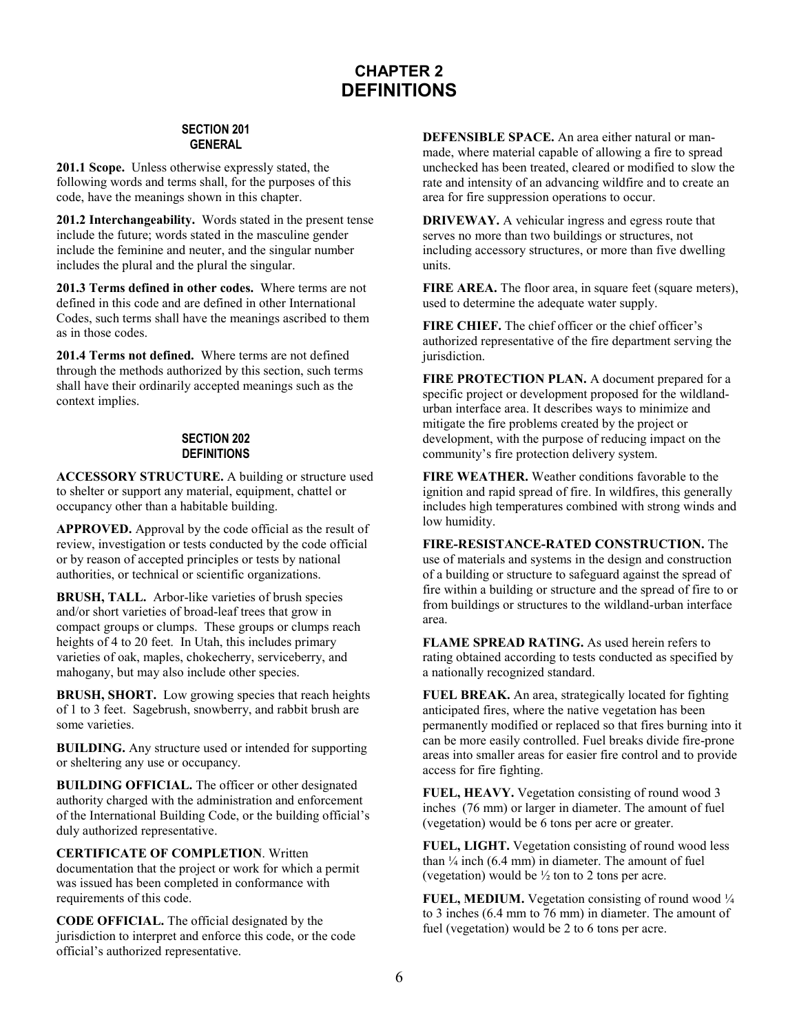# **CHAPTER 2 DEFINITIONS**

#### **SECTION 201 GENERAL**

**201.1 Scope.** Unless otherwise expressly stated, the following words and terms shall, for the purposes of this code, have the meanings shown in this chapter.

**201.2 Interchangeability.** Words stated in the present tense include the future; words stated in the masculine gender include the feminine and neuter, and the singular number includes the plural and the plural the singular.

**201.3 Terms defined in other codes.** Where terms are not defined in this code and are defined in other International Codes, such terms shall have the meanings ascribed to them as in those codes.

**201.4 Terms not defined.** Where terms are not defined through the methods authorized by this section, such terms shall have their ordinarily accepted meanings such as the context implies.

### **SECTION 202 DEFINITIONS**

**ACCESSORY STRUCTURE.** A building or structure used to shelter or support any material, equipment, chattel or occupancy other than a habitable building.

**APPROVED.** Approval by the code official as the result of review, investigation or tests conducted by the code official or by reason of accepted principles or tests by national authorities, or technical or scientific organizations.

**BRUSH, TALL.** Arbor-like varieties of brush species and/or short varieties of broad-leaf trees that grow in compact groups or clumps. These groups or clumps reach heights of 4 to 20 feet. In Utah, this includes primary varieties of oak, maples, chokecherry, serviceberry, and mahogany, but may also include other species.

**BRUSH, SHORT.** Low growing species that reach heights of 1 to 3 feet. Sagebrush, snowberry, and rabbit brush are some varieties.

**BUILDING.** Any structure used or intended for supporting or sheltering any use or occupancy.

**BUILDING OFFICIAL.** The officer or other designated authority charged with the administration and enforcement of the International Building Code, or the building official's duly authorized representative.

**CERTIFICATE OF COMPLETION**. Written documentation that the project or work for which a permit was issued has been completed in conformance with requirements of this code.

**CODE OFFICIAL.** The official designated by the jurisdiction to interpret and enforce this code, or the code official's authorized representative.

**DEFENSIBLE SPACE.** An area either natural or manmade, where material capable of allowing a fire to spread unchecked has been treated, cleared or modified to slow the rate and intensity of an advancing wildfire and to create an area for fire suppression operations to occur.

**DRIVEWAY.** A vehicular ingress and egress route that serves no more than two buildings or structures, not including accessory structures, or more than five dwelling units.

**FIRE AREA.** The floor area, in square feet (square meters), used to determine the adequate water supply.

**FIRE CHIEF.** The chief officer or the chief officer's authorized representative of the fire department serving the jurisdiction.

**FIRE PROTECTION PLAN.** A document prepared for a specific project or development proposed for the wildlandurban interface area. It describes ways to minimize and mitigate the fire problems created by the project or development, with the purpose of reducing impact on the community's fire protection delivery system.

**FIRE WEATHER.** Weather conditions favorable to the ignition and rapid spread of fire. In wildfires, this generally includes high temperatures combined with strong winds and low humidity.

**FIRE-RESISTANCE-RATED CONSTRUCTION.** The use of materials and systems in the design and construction of a building or structure to safeguard against the spread of fire within a building or structure and the spread of fire to or from buildings or structures to the wildland-urban interface area.

**FLAME SPREAD RATING.** As used herein refers to rating obtained according to tests conducted as specified by a nationally recognized standard.

**FUEL BREAK.** An area, strategically located for fighting anticipated fires, where the native vegetation has been permanently modified or replaced so that fires burning into it can be more easily controlled. Fuel breaks divide fire-prone areas into smaller areas for easier fire control and to provide access for fire fighting.

**FUEL, HEAVY.** Vegetation consisting of round wood 3 inches (76 mm) or larger in diameter. The amount of fuel (vegetation) would be 6 tons per acre or greater.

**FUEL, LIGHT.** Vegetation consisting of round wood less than  $\frac{1}{4}$  inch (6.4 mm) in diameter. The amount of fuel (vegetation) would be ½ ton to 2 tons per acre.

**FUEL, MEDIUM.** Vegetation consisting of round wood  $\frac{1}{4}$ to 3 inches (6.4 mm to 76 mm) in diameter. The amount of fuel (vegetation) would be 2 to 6 tons per acre.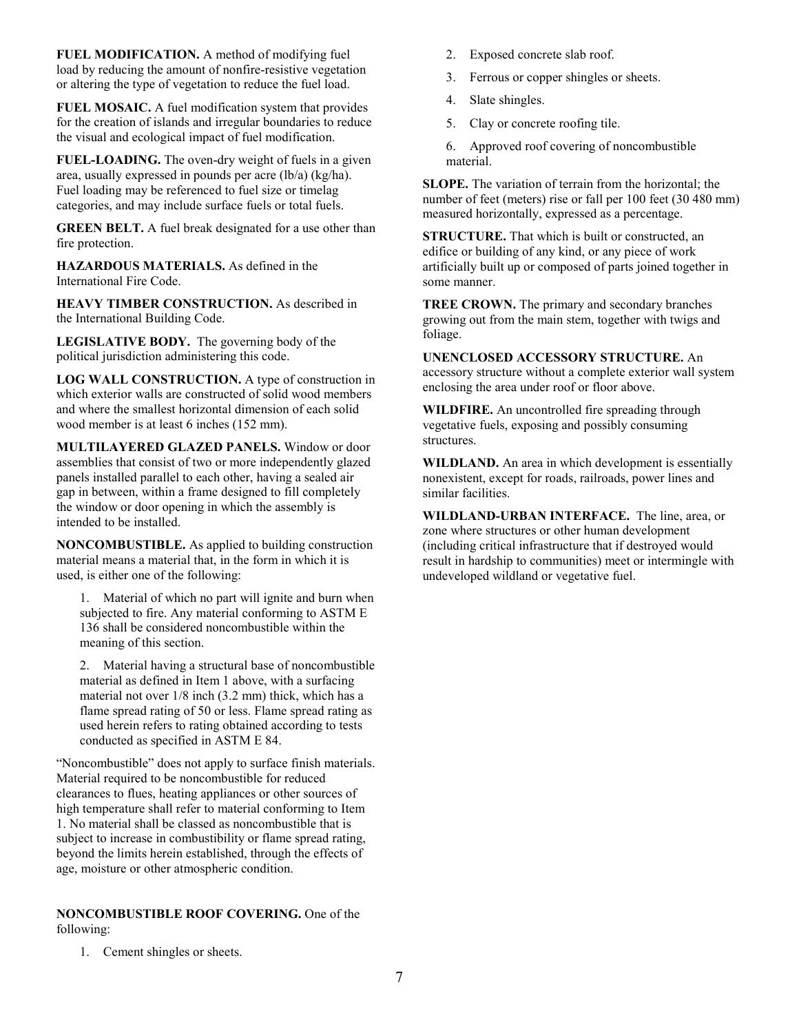**FUEL MODIFICATION.** A method of modifying fuel load by reducing the amount of nonfire-resistive vegetation or altering the type of vegetation to reduce the fuel load.

**FUEL MOSAIC.** A fuel modification system that provides for the creation of islands and irregular boundaries to reduce the visual and ecological impact of fuel modification.

**FUEL-LOADING.** The oven-dry weight of fuels in a given area, usually expressed in pounds per acre (lb/a) (kg/ha). Fuel loading may be referenced to fuel size or timelag categories, and may include surface fuels or total fuels.

**GREEN BELT.** A fuel break designated for a use other than fire protection.

**HAZARDOUS MATERIALS.** As defined in the International Fire Code.

**HEAVY TIMBER CONSTRUCTION.** As described in the International Building Code.

**LEGISLATIVE BODY.** The governing body of the political jurisdiction administering this code.

**LOG WALL CONSTRUCTION.** A type of construction in which exterior walls are constructed of solid wood members and where the smallest horizontal dimension of each solid wood member is at least 6 inches (152 mm).

**MULTILAYERED GLAZED PANELS.** Window or door assemblies that consist of two or more independently glazed panels installed parallel to each other, having a sealed air gap in between, within a frame designed to fill completely the window or door opening in which the assembly is intended to be installed.

**NONCOMBUSTIBLE.** As applied to building construction material means a material that, in the form in which it is used, is either one of the following:

1. Material of which no part will ignite and burn when subjected to fire. Any material conforming to ASTM E 136 shall be considered noncombustible within the meaning of this section.

2. Material having a structural base of noncombustible material as defined in Item 1 above, with a surfacing material not over 1/8 inch (3.2 mm) thick, which has a flame spread rating of 50 or less. Flame spread rating as used herein refers to rating obtained according to tests conducted as specified in ASTM E 84.

"Noncombustible" does not apply to surface finish materials. Material required to be noncombustible for reduced clearances to flues, heating appliances or other sources of high temperature shall refer to material conforming to Item 1. No material shall be classed as noncombustible that is subject to increase in combustibility or flame spread rating, beyond the limits herein established, through the effects of age, moisture or other atmospheric condition.

**NONCOMBUSTIBLE ROOF COVERING.** One of the following:

- 2. Exposed concrete slab roof.
- 3. Ferrous or copper shingles or sheets.
- 4. Slate shingles.
- 5. Clay or concrete roofing tile.

6. Approved roof covering of noncombustible material.

**SLOPE.** The variation of terrain from the horizontal; the number of feet (meters) rise or fall per 100 feet (30 480 mm) measured horizontally, expressed as a percentage.

**STRUCTURE.** That which is built or constructed, an edifice or building of any kind, or any piece of work artificially built up or composed of parts joined together in some manner.

**TREE CROWN.** The primary and secondary branches growing out from the main stem, together with twigs and foliage.

**UNENCLOSED ACCESSORY STRUCTURE.** An accessory structure without a complete exterior wall system enclosing the area under roof or floor above.

**WILDFIRE.** An uncontrolled fire spreading through vegetative fuels, exposing and possibly consuming structures.

**WILDLAND.** An area in which development is essentially nonexistent, except for roads, railroads, power lines and similar facilities.

**WILDLAND-URBAN INTERFACE.** The line, area, or zone where structures or other human development (including critical infrastructure that if destroyed would result in hardship to communities) meet or intermingle with undeveloped wildland or vegetative fuel.

1. Cement shingles or sheets.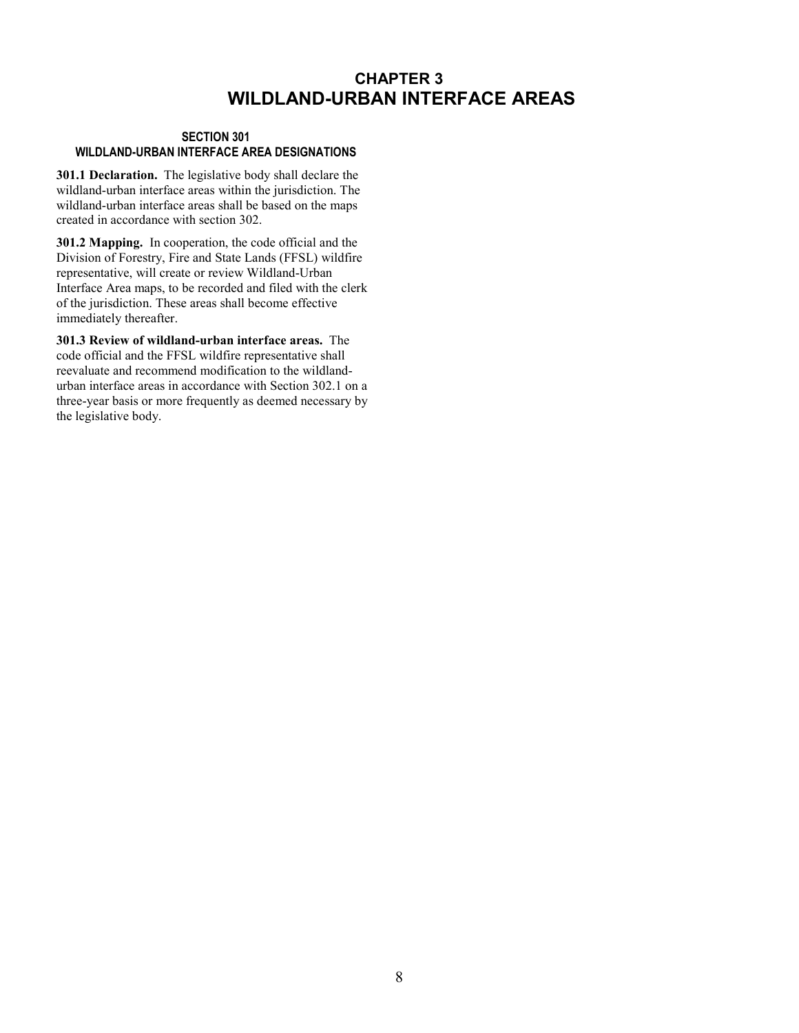## **CHAPTER 3 WILDLAND-URBAN INTERFACE AREAS**

## **SECTION 301 WILDLAND-URBAN INTERFACE AREA DESIGNATIONS**

**301.1 Declaration.** The legislative body shall declare the wildland-urban interface areas within the jurisdiction. The wildland-urban interface areas shall be based on the maps created in accordance with section 302.

**301.2 Mapping.** In cooperation, the code official and the Division of Forestry, Fire and State Lands (FFSL) wildfire representative, will create or review Wildland-Urban Interface Area maps, to be recorded and filed with the clerk of the jurisdiction. These areas shall become effective immediately thereafter.

**301.3 Review of wildland-urban interface areas.** The code official and the FFSL wildfire representative shall reevaluate and recommend modification to the wildlandurban interface areas in accordance with Section 302.1 on a three-year basis or more frequently as deemed necessary by the legislative body.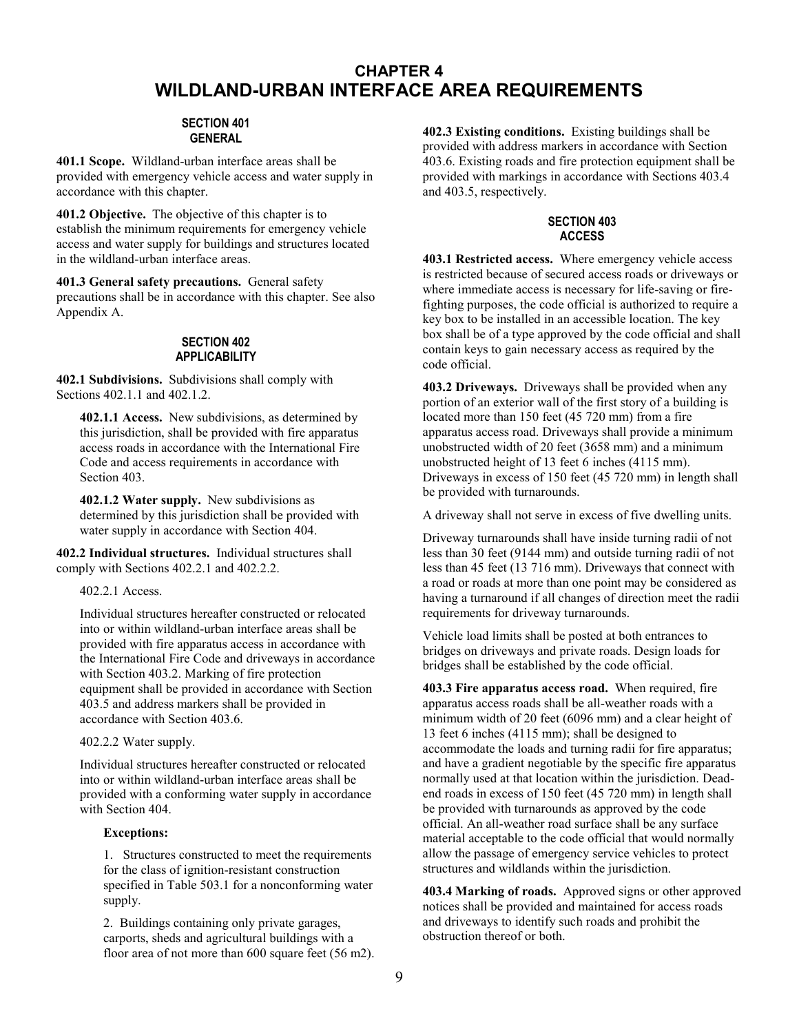# **CHAPTER 4 WILDLAND-URBAN INTERFACE AREA REQUIREMENTS**

#### **SECTION 401 GENERAL**

**401.1 Scope.** Wildland-urban interface areas shall be provided with emergency vehicle access and water supply in accordance with this chapter.

**401.2 Objective.** The objective of this chapter is to establish the minimum requirements for emergency vehicle access and water supply for buildings and structures located in the wildland-urban interface areas.

**401.3 General safety precautions.** General safety precautions shall be in accordance with this chapter. See also Appendix A.

#### **SECTION 402 APPLICABILITY**

**402.1 Subdivisions.** Subdivisions shall comply with Sections 402.1.1 and 402.1.2.

**402.1.1 Access.** New subdivisions, as determined by this jurisdiction, shall be provided with fire apparatus access roads in accordance with the International Fire Code and access requirements in accordance with Section 403.

**402.1.2 Water supply.** New subdivisions as determined by this jurisdiction shall be provided with water supply in accordance with Section 404.

**402.2 Individual structures.** Individual structures shall comply with Sections 402.2.1 and 402.2.2.

402.2.1 Access.

Individual structures hereafter constructed or relocated into or within wildland-urban interface areas shall be provided with fire apparatus access in accordance with the International Fire Code and driveways in accordance with Section 403.2. Marking of fire protection equipment shall be provided in accordance with Section 403.5 and address markers shall be provided in accordance with Section 403.6.

402.2.2 Water supply.

Individual structures hereafter constructed or relocated into or within wildland-urban interface areas shall be provided with a conforming water supply in accordance with Section 404.

### **Exceptions:**

1. Structures constructed to meet the requirements for the class of ignition-resistant construction specified in Table 503.1 for a nonconforming water supply.

2. Buildings containing only private garages, carports, sheds and agricultural buildings with a floor area of not more than 600 square feet (56 m2). **402.3 Existing conditions.** Existing buildings shall be provided with address markers in accordance with Section 403.6. Existing roads and fire protection equipment shall be provided with markings in accordance with Sections 403.4 and 403.5, respectively.

## **SECTION 403 ACCESS**

**403.1 Restricted access.** Where emergency vehicle access is restricted because of secured access roads or driveways or where immediate access is necessary for life-saving or firefighting purposes, the code official is authorized to require a key box to be installed in an accessible location. The key box shall be of a type approved by the code official and shall contain keys to gain necessary access as required by the code official.

**403.2 Driveways.** Driveways shall be provided when any portion of an exterior wall of the first story of a building is located more than 150 feet (45 720 mm) from a fire apparatus access road. Driveways shall provide a minimum unobstructed width of 20 feet (3658 mm) and a minimum unobstructed height of 13 feet 6 inches (4115 mm). Driveways in excess of 150 feet (45 720 mm) in length shall be provided with turnarounds.

A driveway shall not serve in excess of five dwelling units.

Driveway turnarounds shall have inside turning radii of not less than 30 feet (9144 mm) and outside turning radii of not less than 45 feet (13 716 mm). Driveways that connect with a road or roads at more than one point may be considered as having a turnaround if all changes of direction meet the radii requirements for driveway turnarounds.

Vehicle load limits shall be posted at both entrances to bridges on driveways and private roads. Design loads for bridges shall be established by the code official.

**403.3 Fire apparatus access road.** When required, fire apparatus access roads shall be all-weather roads with a minimum width of 20 feet (6096 mm) and a clear height of 13 feet 6 inches (4115 mm); shall be designed to accommodate the loads and turning radii for fire apparatus; and have a gradient negotiable by the specific fire apparatus normally used at that location within the jurisdiction. Deadend roads in excess of 150 feet (45 720 mm) in length shall be provided with turnarounds as approved by the code official. An all-weather road surface shall be any surface material acceptable to the code official that would normally allow the passage of emergency service vehicles to protect structures and wildlands within the jurisdiction.

**403.4 Marking of roads.** Approved signs or other approved notices shall be provided and maintained for access roads and driveways to identify such roads and prohibit the obstruction thereof or both.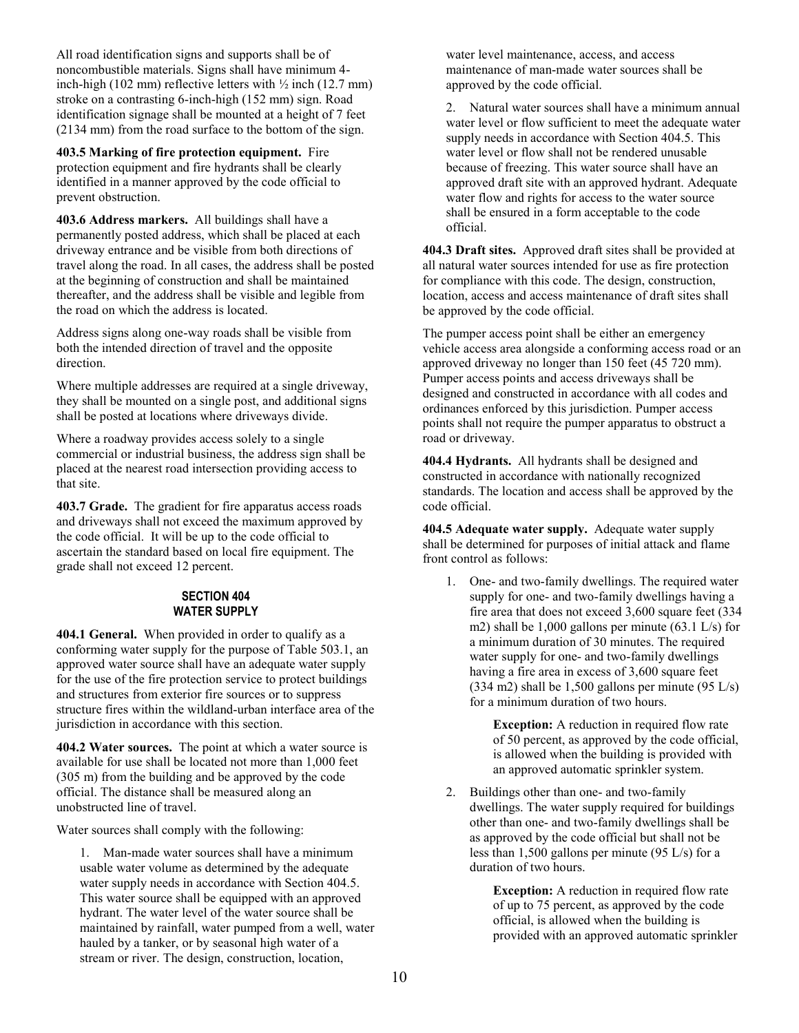All road identification signs and supports shall be of noncombustible materials. Signs shall have minimum 4 inch-high (102 mm) reflective letters with ½ inch (12.7 mm) stroke on a contrasting 6-inch-high (152 mm) sign. Road identification signage shall be mounted at a height of 7 feet (2134 mm) from the road surface to the bottom of the sign.

**403.5 Marking of fire protection equipment.** Fire protection equipment and fire hydrants shall be clearly identified in a manner approved by the code official to prevent obstruction.

**403.6 Address markers.** All buildings shall have a permanently posted address, which shall be placed at each driveway entrance and be visible from both directions of travel along the road. In all cases, the address shall be posted at the beginning of construction and shall be maintained thereafter, and the address shall be visible and legible from the road on which the address is located.

Address signs along one-way roads shall be visible from both the intended direction of travel and the opposite direction.

Where multiple addresses are required at a single driveway, they shall be mounted on a single post, and additional signs shall be posted at locations where driveways divide.

Where a roadway provides access solely to a single commercial or industrial business, the address sign shall be placed at the nearest road intersection providing access to that site.

**403.7 Grade.** The gradient for fire apparatus access roads and driveways shall not exceed the maximum approved by the code official. It will be up to the code official to ascertain the standard based on local fire equipment. The grade shall not exceed 12 percent.

### **SECTION 404 WATER SUPPLY**

**404.1 General.** When provided in order to qualify as a conforming water supply for the purpose of Table 503.1, an approved water source shall have an adequate water supply for the use of the fire protection service to protect buildings and structures from exterior fire sources or to suppress structure fires within the wildland-urban interface area of the jurisdiction in accordance with this section.

**404.2 Water sources.** The point at which a water source is available for use shall be located not more than 1,000 feet (305 m) from the building and be approved by the code official. The distance shall be measured along an unobstructed line of travel.

Water sources shall comply with the following:

1. Man-made water sources shall have a minimum usable water volume as determined by the adequate water supply needs in accordance with Section 404.5. This water source shall be equipped with an approved hydrant. The water level of the water source shall be maintained by rainfall, water pumped from a well, water hauled by a tanker, or by seasonal high water of a stream or river. The design, construction, location,

water level maintenance, access, and access maintenance of man-made water sources shall be approved by the code official.

2. Natural water sources shall have a minimum annual water level or flow sufficient to meet the adequate water supply needs in accordance with Section 404.5. This water level or flow shall not be rendered unusable because of freezing. This water source shall have an approved draft site with an approved hydrant. Adequate water flow and rights for access to the water source shall be ensured in a form acceptable to the code official.

**404.3 Draft sites.** Approved draft sites shall be provided at all natural water sources intended for use as fire protection for compliance with this code. The design, construction, location, access and access maintenance of draft sites shall be approved by the code official.

The pumper access point shall be either an emergency vehicle access area alongside a conforming access road or an approved driveway no longer than 150 feet (45 720 mm). Pumper access points and access driveways shall be designed and constructed in accordance with all codes and ordinances enforced by this jurisdiction. Pumper access points shall not require the pumper apparatus to obstruct a road or driveway.

**404.4 Hydrants.** All hydrants shall be designed and constructed in accordance with nationally recognized standards. The location and access shall be approved by the code official.

**404.5 Adequate water supply.** Adequate water supply shall be determined for purposes of initial attack and flame front control as follows:

1. One- and two-family dwellings. The required water supply for one- and two-family dwellings having a fire area that does not exceed 3,600 square feet (334 m2) shall be 1,000 gallons per minute (63.1 L/s) for a minimum duration of 30 minutes. The required water supply for one- and two-family dwellings having a fire area in excess of 3,600 square feet (334 m2) shall be 1,500 gallons per minute (95 L/s) for a minimum duration of two hours.

> **Exception:** A reduction in required flow rate of 50 percent, as approved by the code official, is allowed when the building is provided with an approved automatic sprinkler system.

2. Buildings other than one- and two-family dwellings. The water supply required for buildings other than one- and two-family dwellings shall be as approved by the code official but shall not be less than 1,500 gallons per minute (95 L/s) for a duration of two hours.

> **Exception:** A reduction in required flow rate of up to 75 percent, as approved by the code official, is allowed when the building is provided with an approved automatic sprinkler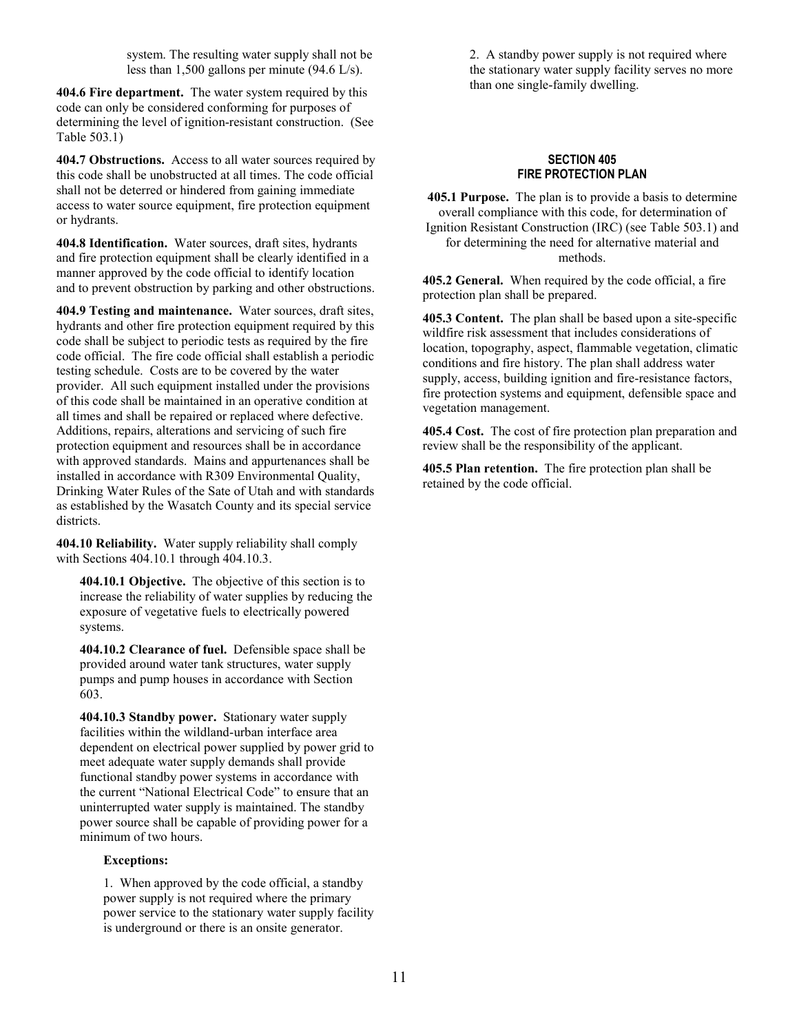system. The resulting water supply shall not be less than 1,500 gallons per minute (94.6 L/s).

**404.6 Fire department.** The water system required by this code can only be considered conforming for purposes of determining the level of ignition-resistant construction. (See Table 503.1)

**404.7 Obstructions.** Access to all water sources required by this code shall be unobstructed at all times. The code official shall not be deterred or hindered from gaining immediate access to water source equipment, fire protection equipment or hydrants.

**404.8 Identification.** Water sources, draft sites, hydrants and fire protection equipment shall be clearly identified in a manner approved by the code official to identify location and to prevent obstruction by parking and other obstructions.

**404.9 Testing and maintenance.** Water sources, draft sites, hydrants and other fire protection equipment required by this code shall be subject to periodic tests as required by the fire code official. The fire code official shall establish a periodic testing schedule. Costs are to be covered by the water provider. All such equipment installed under the provisions of this code shall be maintained in an operative condition at all times and shall be repaired or replaced where defective. Additions, repairs, alterations and servicing of such fire protection equipment and resources shall be in accordance with approved standards. Mains and appurtenances shall be installed in accordance with R309 Environmental Quality, Drinking Water Rules of the Sate of Utah and with standards as established by the Wasatch County and its special service districts.

**404.10 Reliability.** Water supply reliability shall comply with Sections 404.10.1 through 404.10.3.

**404.10.1 Objective.** The objective of this section is to increase the reliability of water supplies by reducing the exposure of vegetative fuels to electrically powered systems.

**404.10.2 Clearance of fuel.** Defensible space shall be provided around water tank structures, water supply pumps and pump houses in accordance with Section 603.

**404.10.3 Standby power.** Stationary water supply facilities within the wildland-urban interface area dependent on electrical power supplied by power grid to meet adequate water supply demands shall provide functional standby power systems in accordance with the current "National Electrical Code" to ensure that an uninterrupted water supply is maintained. The standby power source shall be capable of providing power for a minimum of two hours.

#### **Exceptions:**

1. When approved by the code official, a standby power supply is not required where the primary power service to the stationary water supply facility is underground or there is an onsite generator.

2. A standby power supply is not required where the stationary water supply facility serves no more than one single-family dwelling.

### **SECTION 405 FIRE PROTECTION PLAN**

**405.1 Purpose.** The plan is to provide a basis to determine overall compliance with this code, for determination of Ignition Resistant Construction (IRC) (see Table 503.1) and for determining the need for alternative material and methods.

**405.2 General.** When required by the code official, a fire protection plan shall be prepared.

**405.3 Content.** The plan shall be based upon a site-specific wildfire risk assessment that includes considerations of location, topography, aspect, flammable vegetation, climatic conditions and fire history. The plan shall address water supply, access, building ignition and fire-resistance factors, fire protection systems and equipment, defensible space and vegetation management.

**405.4 Cost.** The cost of fire protection plan preparation and review shall be the responsibility of the applicant.

**405.5 Plan retention.** The fire protection plan shall be retained by the code official.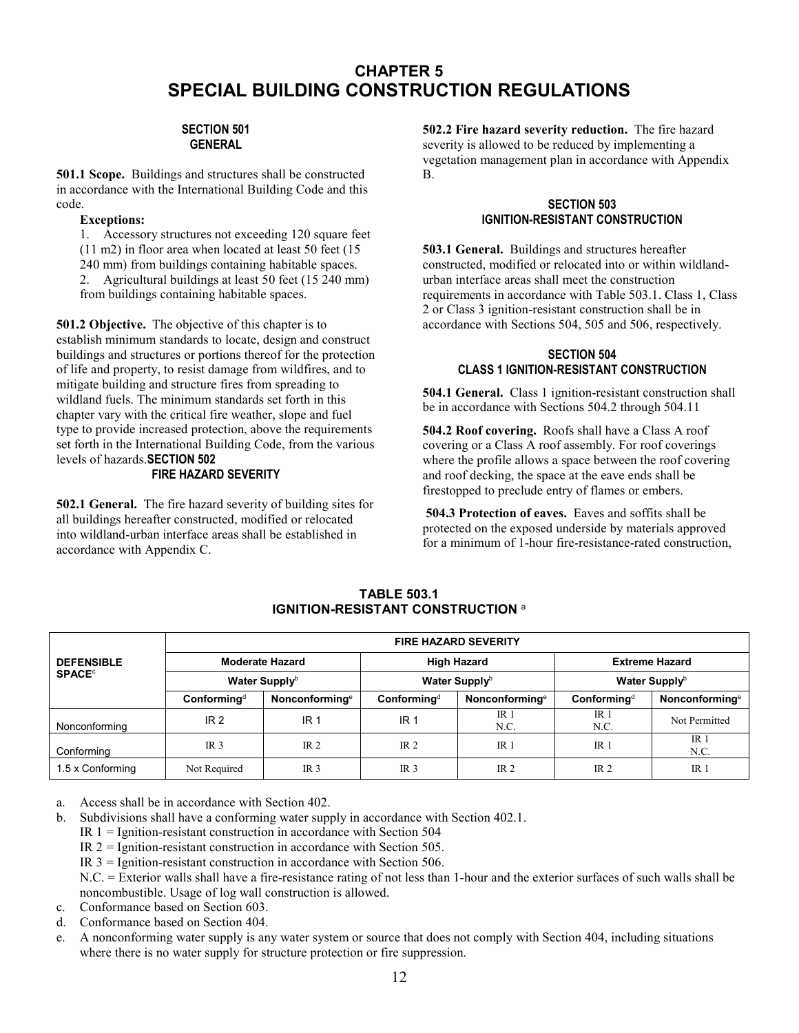# **CHAPTER 5 SPECIAL BUILDING CONSTRUCTION REGULATIONS**

### **SECTION 501 GENERAL**

**501.1 Scope.** Buildings and structures shall be constructed in accordance with the International Building Code and this code.

### **Exceptions:**

1. Accessory structures not exceeding 120 square feet (11 m2) in floor area when located at least 50 feet (15 240 mm) from buildings containing habitable spaces. 2. Agricultural buildings at least 50 feet (15 240 mm) from buildings containing habitable spaces.

**501.2 Objective.** The objective of this chapter is to establish minimum standards to locate, design and construct buildings and structures or portions thereof for the protection of life and property, to resist damage from wildfires, and to mitigate building and structure fires from spreading to wildland fuels. The minimum standards set forth in this chapter vary with the critical fire weather, slope and fuel type to provide increased protection, above the requirements set forth in the International Building Code, from the various levels of hazards.**SECTION 502**

## **FIRE HAZARD SEVERITY**

**502.1 General.** The fire hazard severity of building sites for all buildings hereafter constructed, modified or relocated into wildland-urban interface areas shall be established in accordance with Appendix C.

**502.2 Fire hazard severity reduction.** The fire hazard severity is allowed to be reduced by implementing a vegetation management plan in accordance with Appendix B.

### **SECTION 503 IGNITION-RESISTANT CONSTRUCTION**

**503.1 General.** Buildings and structures hereafter constructed, modified or relocated into or within wildlandurban interface areas shall meet the construction requirements in accordance with Table 503.1. Class 1, Class 2 or Class 3 ignition-resistant construction shall be in accordance with Sections 504, 505 and 506, respectively.

### **SECTION 504 CLASS 1 IGNITION-RESISTANT CONSTRUCTION**

**504.1 General.** Class 1 ignition-resistant construction shall be in accordance with Sections 504.2 through 504.11

**504.2 Roof covering.** Roofs shall have a Class A roof covering or a Class A roof assembly. For roof coverings where the profile allows a space between the roof covering and roof decking, the space at the eave ends shall be firestopped to preclude entry of flames or embers.

**504.3 Protection of eaves.** Eaves and soffits shall be protected on the exposed underside by materials approved for a minimum of 1-hour fire-resistance-rated construction,

|                                               | <b>FIRE HAZARD SEVERITY</b> |                                   |                         |                                   |                         |                                   |  |
|-----------------------------------------------|-----------------------------|-----------------------------------|-------------------------|-----------------------------------|-------------------------|-----------------------------------|--|
| <b>DEFENSIBLE</b><br><b>SPACE<sup>c</sup></b> | <b>Moderate Hazard</b>      |                                   | <b>High Hazard</b>      |                                   | <b>Extreme Hazard</b>   |                                   |  |
|                                               | Water Supply <sup>b</sup>   |                                   | Water Supplyb           |                                   | Water Supplyb           |                                   |  |
|                                               | Conforming <sup>d</sup>     | <b>Nonconforming</b> <sup>e</sup> | Conforming <sup>d</sup> | <b>Nonconforming</b> <sup>e</sup> | Conforming <sup>d</sup> | <b>Nonconforming</b> <sup>e</sup> |  |
| Nonconforming                                 | IR <sub>2</sub>             | IR 1                              | IR <sub>1</sub>         | IR <sub>1</sub><br>N.C.           | IR <sub>1</sub><br>N.C. | Not Permitted                     |  |
| Conforming                                    | IR $3$                      | IR <sub>2</sub>                   | IR <sub>2</sub>         | IR <sub>1</sub>                   | IR <sub>1</sub>         | IR <sub>1</sub><br>N.C.           |  |
| 1.5 x Conforming                              | Not Required                | IR $3$                            | IR $3$                  | IR <sub>2</sub>                   | IR <sub>2</sub>         | IR <sub>1</sub>                   |  |

## **TABLE 503.1 IGNITION-RESISTANT CONSTRUCTION** <sup>a</sup>

a. Access shall be in accordance with Section 402.

- b. Subdivisions shall have a conforming water supply in accordance with Section 402.1.
	- IR  $1 =$  Ignition-resistant construction in accordance with Section 504
	- IR 2 = Ignition-resistant construction in accordance with Section 505.
	- IR 3 = Ignition-resistant construction in accordance with Section 506.
	- N.C. = Exterior walls shall have a fire-resistance rating of not less than 1-hour and the exterior surfaces of such walls shall be noncombustible. Usage of log wall construction is allowed.
- c. Conformance based on Section 603.
- d. Conformance based on Section 404.
- e. A nonconforming water supply is any water system or source that does not comply with Section 404, including situations where there is no water supply for structure protection or fire suppression.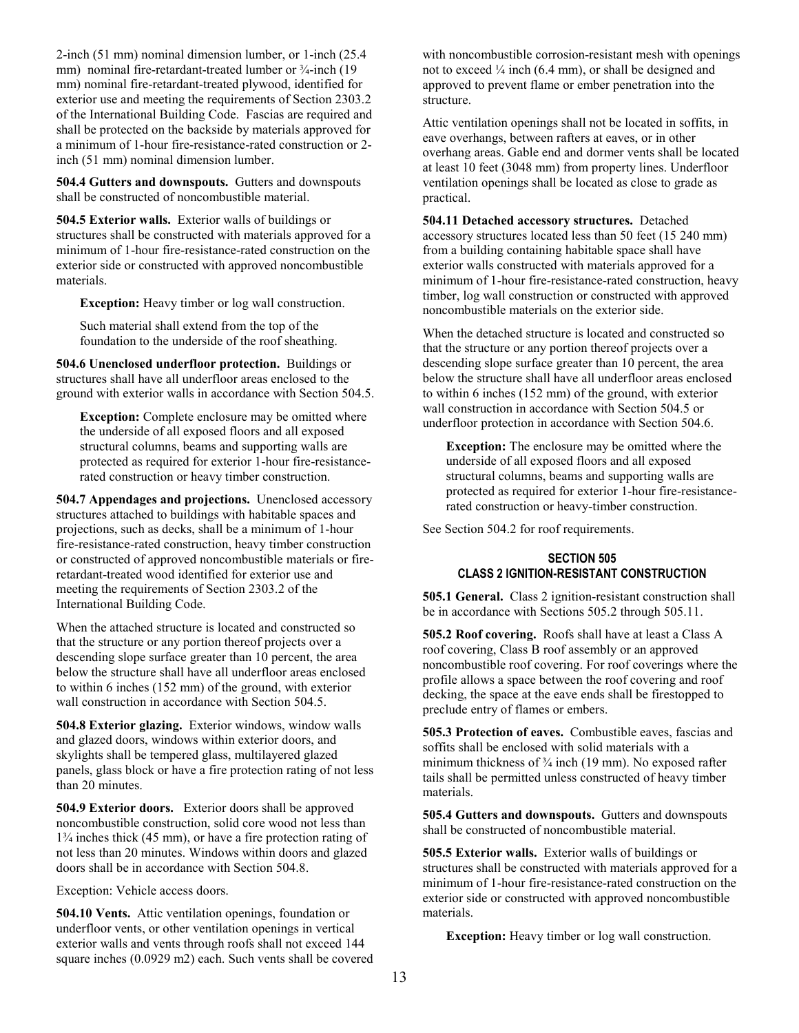2-inch (51 mm) nominal dimension lumber, or 1-inch (25.4 mm) nominal fire-retardant-treated lumber or  $\frac{3}{4}$ -inch (19) mm) nominal fire-retardant-treated plywood, identified for exterior use and meeting the requirements of Section 2303.2 of the International Building Code. Fascias are required and shall be protected on the backside by materials approved for a minimum of 1-hour fire-resistance-rated construction or 2 inch (51 mm) nominal dimension lumber.

**504.4 Gutters and downspouts.** Gutters and downspouts shall be constructed of noncombustible material.

**504.5 Exterior walls.** Exterior walls of buildings or structures shall be constructed with materials approved for a minimum of 1-hour fire-resistance-rated construction on the exterior side or constructed with approved noncombustible materials.

**Exception:** Heavy timber or log wall construction.

Such material shall extend from the top of the foundation to the underside of the roof sheathing.

**504.6 Unenclosed underfloor protection.** Buildings or structures shall have all underfloor areas enclosed to the ground with exterior walls in accordance with Section 504.5.

**Exception:** Complete enclosure may be omitted where the underside of all exposed floors and all exposed structural columns, beams and supporting walls are protected as required for exterior 1-hour fire-resistancerated construction or heavy timber construction.

**504.7 Appendages and projections.** Unenclosed accessory structures attached to buildings with habitable spaces and projections, such as decks, shall be a minimum of 1-hour fire-resistance-rated construction, heavy timber construction or constructed of approved noncombustible materials or fireretardant-treated wood identified for exterior use and meeting the requirements of Section 2303.2 of the International Building Code.

When the attached structure is located and constructed so that the structure or any portion thereof projects over a descending slope surface greater than 10 percent, the area below the structure shall have all underfloor areas enclosed to within 6 inches (152 mm) of the ground, with exterior wall construction in accordance with Section 504.5.

**504.8 Exterior glazing.** Exterior windows, window walls and glazed doors, windows within exterior doors, and skylights shall be tempered glass, multilayered glazed panels, glass block or have a fire protection rating of not less than 20 minutes.

**504.9 Exterior doors.** Exterior doors shall be approved noncombustible construction, solid core wood not less than 1¾ inches thick (45 mm), or have a fire protection rating of not less than 20 minutes. Windows within doors and glazed doors shall be in accordance with Section 504.8.

Exception: Vehicle access doors.

**504.10 Vents.** Attic ventilation openings, foundation or underfloor vents, or other ventilation openings in vertical exterior walls and vents through roofs shall not exceed 144 square inches (0.0929 m2) each. Such vents shall be covered

with noncombustible corrosion-resistant mesh with openings not to exceed  $\frac{1}{4}$  inch (6.4 mm), or shall be designed and approved to prevent flame or ember penetration into the structure.

Attic ventilation openings shall not be located in soffits, in eave overhangs, between rafters at eaves, or in other overhang areas. Gable end and dormer vents shall be located at least 10 feet (3048 mm) from property lines. Underfloor ventilation openings shall be located as close to grade as practical.

**504.11 Detached accessory structures.** Detached accessory structures located less than 50 feet (15 240 mm) from a building containing habitable space shall have exterior walls constructed with materials approved for a minimum of 1-hour fire-resistance-rated construction, heavy timber, log wall construction or constructed with approved noncombustible materials on the exterior side.

When the detached structure is located and constructed so that the structure or any portion thereof projects over a descending slope surface greater than 10 percent, the area below the structure shall have all underfloor areas enclosed to within 6 inches (152 mm) of the ground, with exterior wall construction in accordance with Section 504.5 or underfloor protection in accordance with Section 504.6.

**Exception:** The enclosure may be omitted where the underside of all exposed floors and all exposed structural columns, beams and supporting walls are protected as required for exterior 1-hour fire-resistancerated construction or heavy-timber construction.

See Section 504.2 for roof requirements.

### **SECTION 505 CLASS 2 IGNITION-RESISTANT CONSTRUCTION**

**505.1 General.** Class 2 ignition-resistant construction shall be in accordance with Sections 505.2 through 505.11.

**505.2 Roof covering.** Roofs shall have at least a Class A roof covering, Class B roof assembly or an approved noncombustible roof covering. For roof coverings where the profile allows a space between the roof covering and roof decking, the space at the eave ends shall be firestopped to preclude entry of flames or embers.

**505.3 Protection of eaves.** Combustible eaves, fascias and soffits shall be enclosed with solid materials with a minimum thickness of  $\frac{3}{4}$  inch (19 mm). No exposed rafter tails shall be permitted unless constructed of heavy timber materials.

**505.4 Gutters and downspouts.** Gutters and downspouts shall be constructed of noncombustible material.

**505.5 Exterior walls.** Exterior walls of buildings or structures shall be constructed with materials approved for a minimum of 1-hour fire-resistance-rated construction on the exterior side or constructed with approved noncombustible materials.

**Exception:** Heavy timber or log wall construction.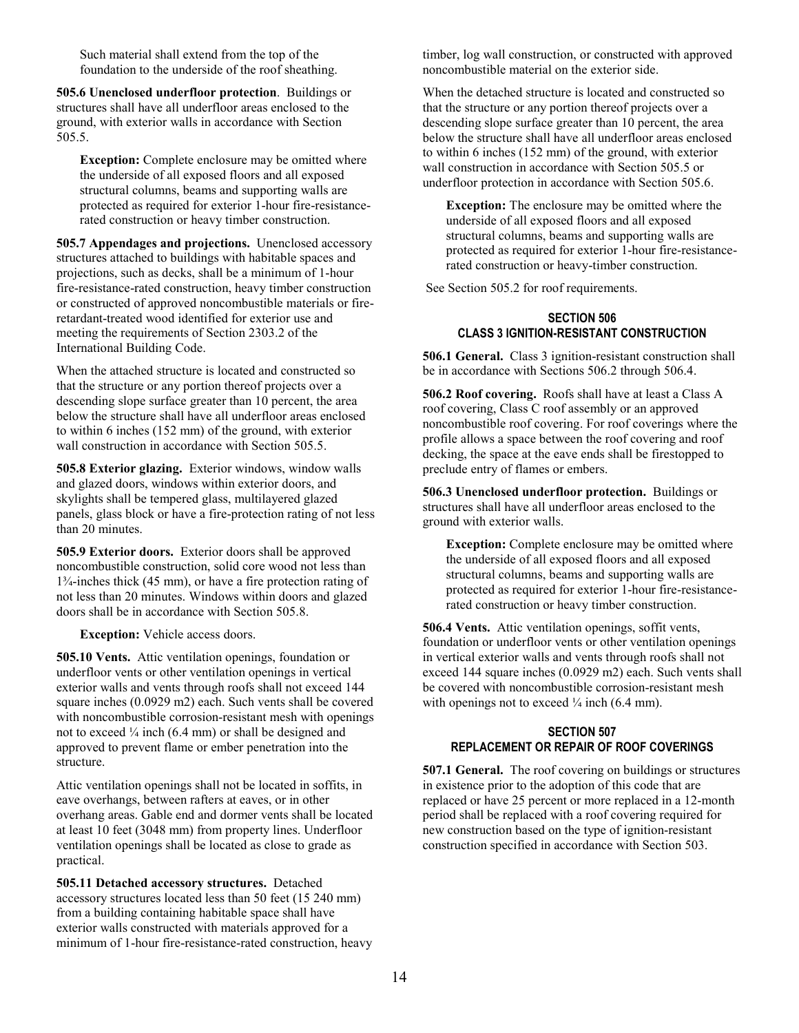Such material shall extend from the top of the foundation to the underside of the roof sheathing.

**505.6 Unenclosed underfloor protection**. Buildings or structures shall have all underfloor areas enclosed to the ground, with exterior walls in accordance with Section 505.5.

**Exception:** Complete enclosure may be omitted where the underside of all exposed floors and all exposed structural columns, beams and supporting walls are protected as required for exterior 1-hour fire-resistancerated construction or heavy timber construction.

**505.7 Appendages and projections.** Unenclosed accessory structures attached to buildings with habitable spaces and projections, such as decks, shall be a minimum of 1-hour fire-resistance-rated construction, heavy timber construction or constructed of approved noncombustible materials or fireretardant-treated wood identified for exterior use and meeting the requirements of Section 2303.2 of the International Building Code.

When the attached structure is located and constructed so that the structure or any portion thereof projects over a descending slope surface greater than 10 percent, the area below the structure shall have all underfloor areas enclosed to within 6 inches (152 mm) of the ground, with exterior wall construction in accordance with Section 505.5.

**505.8 Exterior glazing.** Exterior windows, window walls and glazed doors, windows within exterior doors, and skylights shall be tempered glass, multilayered glazed panels, glass block or have a fire-protection rating of not less than 20 minutes.

**505.9 Exterior doors.** Exterior doors shall be approved noncombustible construction, solid core wood not less than 1¾-inches thick (45 mm), or have a fire protection rating of not less than 20 minutes. Windows within doors and glazed doors shall be in accordance with Section 505.8.

**Exception:** Vehicle access doors.

**505.10 Vents.** Attic ventilation openings, foundation or underfloor vents or other ventilation openings in vertical exterior walls and vents through roofs shall not exceed 144 square inches (0.0929 m2) each. Such vents shall be covered with noncombustible corrosion-resistant mesh with openings not to exceed  $\frac{1}{4}$  inch (6.4 mm) or shall be designed and approved to prevent flame or ember penetration into the structure.

Attic ventilation openings shall not be located in soffits, in eave overhangs, between rafters at eaves, or in other overhang areas. Gable end and dormer vents shall be located at least 10 feet (3048 mm) from property lines. Underfloor ventilation openings shall be located as close to grade as practical.

**505.11 Detached accessory structures.** Detached accessory structures located less than 50 feet (15 240 mm) from a building containing habitable space shall have exterior walls constructed with materials approved for a minimum of 1-hour fire-resistance-rated construction, heavy timber, log wall construction, or constructed with approved noncombustible material on the exterior side.

When the detached structure is located and constructed so that the structure or any portion thereof projects over a descending slope surface greater than 10 percent, the area below the structure shall have all underfloor areas enclosed to within 6 inches (152 mm) of the ground, with exterior wall construction in accordance with Section 505.5 or underfloor protection in accordance with Section 505.6.

**Exception:** The enclosure may be omitted where the underside of all exposed floors and all exposed structural columns, beams and supporting walls are protected as required for exterior 1-hour fire-resistancerated construction or heavy-timber construction.

See Section 505.2 for roof requirements.

## **SECTION 506 CLASS 3 IGNITION-RESISTANT CONSTRUCTION**

**506.1 General.** Class 3 ignition-resistant construction shall be in accordance with Sections 506.2 through 506.4.

**506.2 Roof covering.** Roofs shall have at least a Class A roof covering, Class C roof assembly or an approved noncombustible roof covering. For roof coverings where the profile allows a space between the roof covering and roof decking, the space at the eave ends shall be firestopped to preclude entry of flames or embers.

**506.3 Unenclosed underfloor protection.** Buildings or structures shall have all underfloor areas enclosed to the ground with exterior walls.

**Exception:** Complete enclosure may be omitted where the underside of all exposed floors and all exposed structural columns, beams and supporting walls are protected as required for exterior 1-hour fire-resistancerated construction or heavy timber construction.

**506.4 Vents.** Attic ventilation openings, soffit vents, foundation or underfloor vents or other ventilation openings in vertical exterior walls and vents through roofs shall not exceed 144 square inches (0.0929 m2) each. Such vents shall be covered with noncombustible corrosion-resistant mesh with openings not to exceed  $\frac{1}{4}$  inch (6.4 mm).

## **SECTION 507 REPLACEMENT OR REPAIR OF ROOF COVERINGS**

**507.1 General.** The roof covering on buildings or structures in existence prior to the adoption of this code that are replaced or have 25 percent or more replaced in a 12-month period shall be replaced with a roof covering required for new construction based on the type of ignition-resistant construction specified in accordance with Section 503.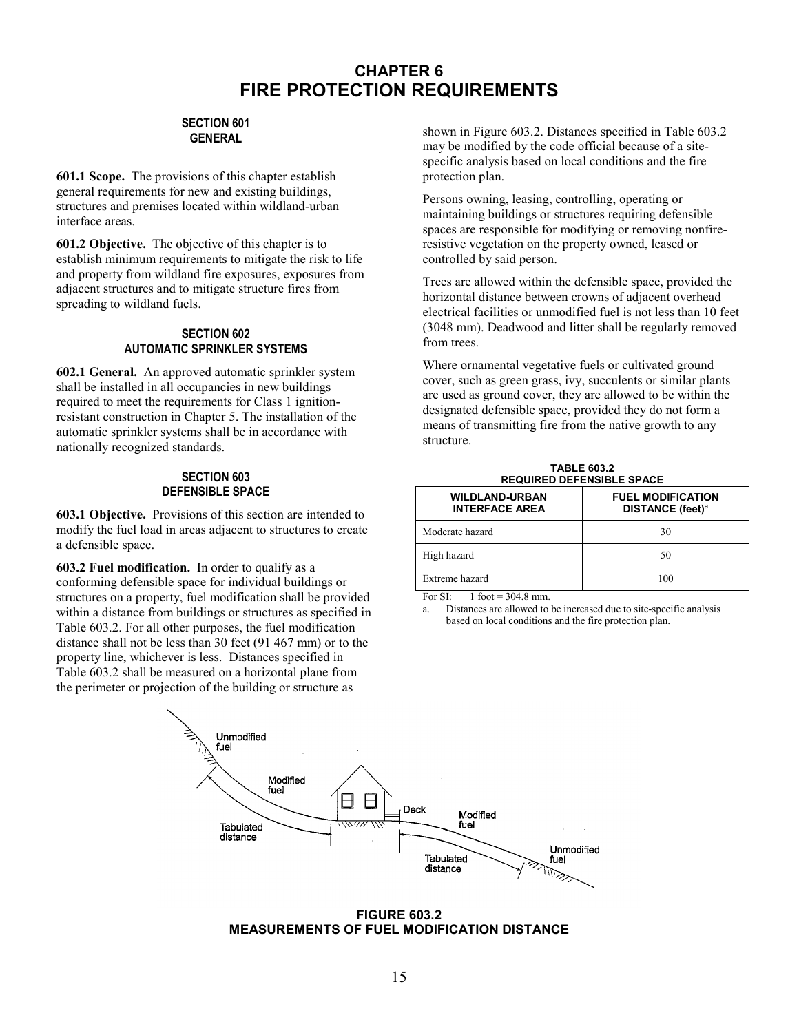## **CHAPTER 6 FIRE PROTECTION REQUIREMENTS**

#### **SECTION 601 GENERAL**

**601.1 Scope.** The provisions of this chapter establish general requirements for new and existing buildings, structures and premises located within wildland-urban interface areas.

**601.2 Objective.** The objective of this chapter is to establish minimum requirements to mitigate the risk to life and property from wildland fire exposures, exposures from adjacent structures and to mitigate structure fires from spreading to wildland fuels.

### **SECTION 602 AUTOMATIC SPRINKLER SYSTEMS**

**602.1 General.** An approved automatic sprinkler system shall be installed in all occupancies in new buildings required to meet the requirements for Class 1 ignitionresistant construction in Chapter 5. The installation of the automatic sprinkler systems shall be in accordance with nationally recognized standards.

### **SECTION 603 DEFENSIBLE SPACE**

**603.1 Objective.** Provisions of this section are intended to modify the fuel load in areas adjacent to structures to create a defensible space.

**603.2 Fuel modification.** In order to qualify as a conforming defensible space for individual buildings or structures on a property, fuel modification shall be provided within a distance from buildings or structures as specified in Table 603.2. For all other purposes, the fuel modification distance shall not be less than 30 feet (91 467 mm) or to the property line, whichever is less. Distances specified in Table 603.2 shall be measured on a horizontal plane from the perimeter or projection of the building or structure as

shown in Figure 603.2. Distances specified in Table 603.2 may be modified by the code official because of a sitespecific analysis based on local conditions and the fire protection plan.

Persons owning, leasing, controlling, operating or maintaining buildings or structures requiring defensible spaces are responsible for modifying or removing nonfireresistive vegetation on the property owned, leased or controlled by said person.

Trees are allowed within the defensible space, provided the horizontal distance between crowns of adjacent overhead electrical facilities or unmodified fuel is not less than 10 feet (3048 mm). Deadwood and litter shall be regularly removed from trees.

Where ornamental vegetative fuels or cultivated ground cover, such as green grass, ivy, succulents or similar plants are used as ground cover, they are allowed to be within the designated defensible space, provided they do not form a means of transmitting fire from the native growth to any structure.

| REQUIRED DEFENSIBLE SPACE                      |                                                                 |  |  |  |
|------------------------------------------------|-----------------------------------------------------------------|--|--|--|
| <b>WILDLAND-URBAN</b><br><b>INTERFACE AREA</b> | <b>FUEL MODIFICATION</b><br><b>DISTANCE</b> (feet) <sup>a</sup> |  |  |  |
| Moderate hazard                                | 30                                                              |  |  |  |
| High hazard                                    | 50                                                              |  |  |  |
| Extreme hazard                                 | 100                                                             |  |  |  |

**TABLE 603.2 REQUIRED DEFENSIBLE SPACE**

For SI:  $1$  foot = 304.8 mm.

a. Distances are allowed to be increased due to site-specific analysis based on local conditions and the fire protection plan.



**FIGURE 603.2 MEASUREMENTS OF FUEL MODIFICATION DISTANCE**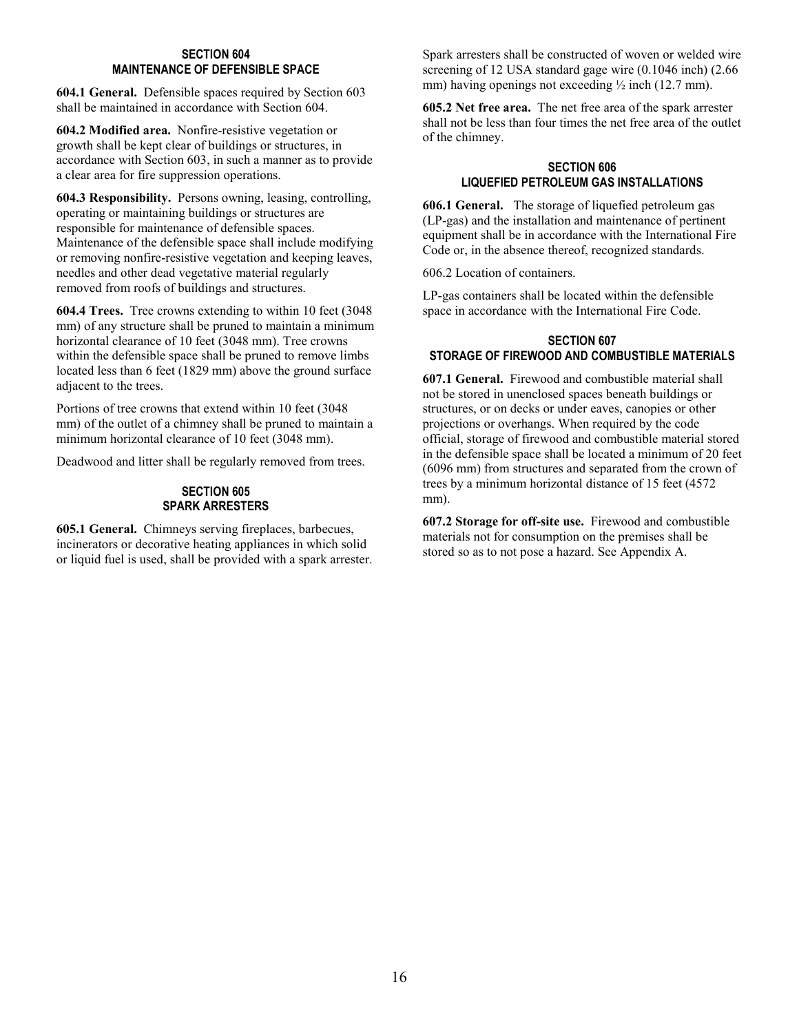### **SECTION 604 MAINTENANCE OF DEFENSIBLE SPACE**

**604.1 General.** Defensible spaces required by Section 603 shall be maintained in accordance with Section 604.

**604.2 Modified area.** Nonfire-resistive vegetation or growth shall be kept clear of buildings or structures, in accordance with Section 603, in such a manner as to provide a clear area for fire suppression operations.

**604.3 Responsibility.** Persons owning, leasing, controlling, operating or maintaining buildings or structures are responsible for maintenance of defensible spaces. Maintenance of the defensible space shall include modifying or removing nonfire-resistive vegetation and keeping leaves, needles and other dead vegetative material regularly removed from roofs of buildings and structures.

**604.4 Trees.** Tree crowns extending to within 10 feet (3048 mm) of any structure shall be pruned to maintain a minimum horizontal clearance of 10 feet (3048 mm). Tree crowns within the defensible space shall be pruned to remove limbs located less than 6 feet (1829 mm) above the ground surface adjacent to the trees.

Portions of tree crowns that extend within 10 feet (3048 mm) of the outlet of a chimney shall be pruned to maintain a minimum horizontal clearance of 10 feet (3048 mm).

Deadwood and litter shall be regularly removed from trees.

## **SECTION 605 SPARK ARRESTERS**

**605.1 General.** Chimneys serving fireplaces, barbecues, incinerators or decorative heating appliances in which solid or liquid fuel is used, shall be provided with a spark arrester. Spark arresters shall be constructed of woven or welded wire screening of 12 USA standard gage wire (0.1046 inch) (2.66 mm) having openings not exceeding ½ inch (12.7 mm).

**605.2 Net free area.** The net free area of the spark arrester shall not be less than four times the net free area of the outlet of the chimney.

## **SECTION 606 LIQUEFIED PETROLEUM GAS INSTALLATIONS**

**606.1 General.** The storage of liquefied petroleum gas (LP-gas) and the installation and maintenance of pertinent equipment shall be in accordance with the International Fire Code or, in the absence thereof, recognized standards.

606.2 Location of containers.

LP-gas containers shall be located within the defensible space in accordance with the International Fire Code.

## **SECTION 607 STORAGE OF FIREWOOD AND COMBUSTIBLE MATERIALS**

**607.1 General.** Firewood and combustible material shall not be stored in unenclosed spaces beneath buildings or structures, or on decks or under eaves, canopies or other projections or overhangs. When required by the code official, storage of firewood and combustible material stored in the defensible space shall be located a minimum of 20 feet (6096 mm) from structures and separated from the crown of trees by a minimum horizontal distance of 15 feet (4572 mm).

**607.2 Storage for off-site use.** Firewood and combustible materials not for consumption on the premises shall be stored so as to not pose a hazard. See Appendix A.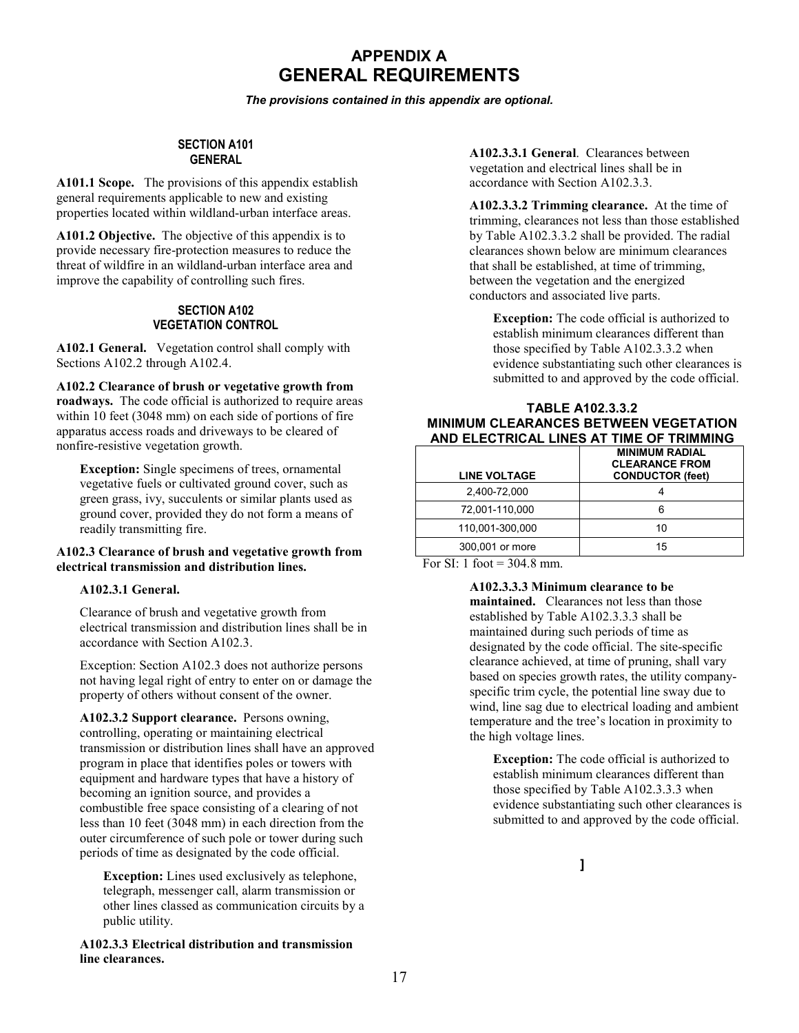# **APPENDIX A GENERAL REQUIREMENTS**

*The provisions contained in this appendix are optional.*

### **SECTION A101 GENERAL**

**A101.1 Scope.** The provisions of this appendix establish general requirements applicable to new and existing properties located within wildland-urban interface areas.

**A101.2 Objective.** The objective of this appendix is to provide necessary fire-protection measures to reduce the threat of wildfire in an wildland-urban interface area and improve the capability of controlling such fires.

### **SECTION A102 VEGETATION CONTROL**

**A102.1 General.** Vegetation control shall comply with Sections A102.2 through A102.4.

**A102.2 Clearance of brush or vegetative growth from roadways.** The code official is authorized to require areas within 10 feet (3048 mm) on each side of portions of fire apparatus access roads and driveways to be cleared of nonfire-resistive vegetation growth.

**Exception:** Single specimens of trees, ornamental vegetative fuels or cultivated ground cover, such as green grass, ivy, succulents or similar plants used as ground cover, provided they do not form a means of readily transmitting fire.

### **A102.3 Clearance of brush and vegetative growth from electrical transmission and distribution lines.**

### **A102.3.1 General.**

Clearance of brush and vegetative growth from electrical transmission and distribution lines shall be in accordance with Section A102.3.

Exception: Section A102.3 does not authorize persons not having legal right of entry to enter on or damage the property of others without consent of the owner.

**A102.3.2 Support clearance.** Persons owning, controlling, operating or maintaining electrical transmission or distribution lines shall have an approved program in place that identifies poles or towers with equipment and hardware types that have a history of becoming an ignition source, and provides a combustible free space consisting of a clearing of not less than 10 feet (3048 mm) in each direction from the outer circumference of such pole or tower during such periods of time as designated by the code official.

**Exception:** Lines used exclusively as telephone, telegraph, messenger call, alarm transmission or other lines classed as communication circuits by a public utility.

**A102.3.3 Electrical distribution and transmission line clearances.**

**A102.3.3.1 General**. Clearances between vegetation and electrical lines shall be in accordance with Section A102.3.3.

**A102.3.3.2 Trimming clearance.** At the time of trimming, clearances not less than those established by Table A102.3.3.2 shall be provided. The radial clearances shown below are minimum clearances that shall be established, at time of trimming, between the vegetation and the energized conductors and associated live parts.

**Exception:** The code official is authorized to establish minimum clearances different than those specified by Table A102.3.3.2 when evidence substantiating such other clearances is submitted to and approved by the code official.

### **TABLE A102.3.3.2 MINIMUM CLEARANCES BETWEEN VEGETATION AND ELECTRICAL LINES AT TIME OF TRIMMING**

| <b>LINE VOLTAGE</b> | <b>MINIMUM RADIAL</b><br><b>CLEARANCE FROM</b><br><b>CONDUCTOR (feet)</b> |
|---------------------|---------------------------------------------------------------------------|
| 2,400-72,000        |                                                                           |
| 72,001-110,000      | հ                                                                         |
| 110,001-300,000     | 10                                                                        |
| 300,001 or more     | 15                                                                        |

For SI: 1 foot  $= 304.8$  mm.

**A102.3.3.3 Minimum clearance to be maintained.** Clearances not less than those established by Table A102.3.3.3 shall be maintained during such periods of time as designated by the code official. The site-specific clearance achieved, at time of pruning, shall vary based on species growth rates, the utility companyspecific trim cycle, the potential line sway due to wind, line sag due to electrical loading and ambient temperature and the tree's location in proximity to the high voltage lines.

**Exception:** The code official is authorized to establish minimum clearances different than those specified by Table A102.3.3.3 when evidence substantiating such other clearances is submitted to and approved by the code official.

**]**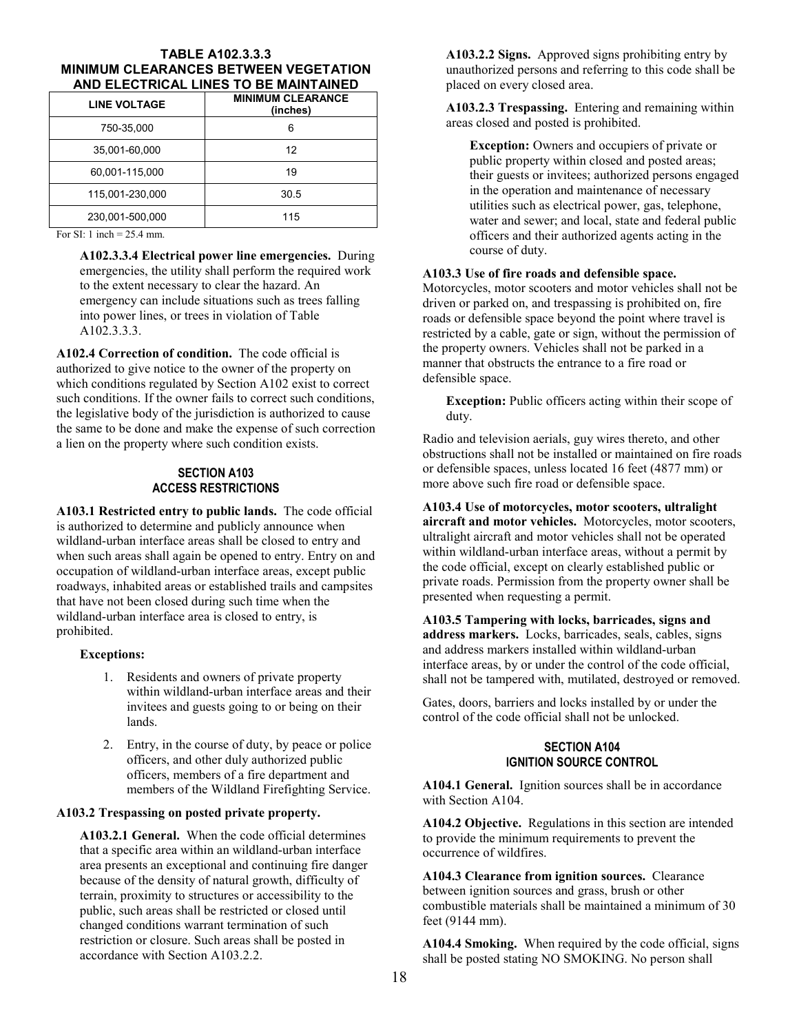### **TABLE A102.3.3.3 MINIMUM CLEARANCES BETWEEN VEGETATION AND ELECTRICAL LINES TO BE MAINTAINED**

| <b>LINE VOLTAGE</b> | <b>MINIMUM CLEARANCE</b><br>(inches) |
|---------------------|--------------------------------------|
| 750-35,000          | 6                                    |
| 35,001-60,000       | 12                                   |
| 60,001-115,000      | 19                                   |
| 115,001-230,000     | 30.5                                 |
| 230,001-500,000     | 115                                  |

For SI: 1 inch  $= 25.4$  mm.

**A102.3.3.4 Electrical power line emergencies.** During emergencies, the utility shall perform the required work to the extent necessary to clear the hazard. An emergency can include situations such as trees falling into power lines, or trees in violation of Table A<sub>102.3</sub>.3.3.

**A102.4 Correction of condition.** The code official is authorized to give notice to the owner of the property on which conditions regulated by Section A102 exist to correct such conditions. If the owner fails to correct such conditions, the legislative body of the jurisdiction is authorized to cause the same to be done and make the expense of such correction a lien on the property where such condition exists.

## **SECTION A103 ACCESS RESTRICTIONS**

**A103.1 Restricted entry to public lands.** The code official is authorized to determine and publicly announce when wildland-urban interface areas shall be closed to entry and when such areas shall again be opened to entry. Entry on and occupation of wildland-urban interface areas, except public roadways, inhabited areas or established trails and campsites that have not been closed during such time when the wildland-urban interface area is closed to entry, is prohibited.

### **Exceptions:**

- 1. Residents and owners of private property within wildland-urban interface areas and their invitees and guests going to or being on their lands.
- 2. Entry, in the course of duty, by peace or police officers, and other duly authorized public officers, members of a fire department and members of the Wildland Firefighting Service.

### **A103.2 Trespassing on posted private property.**

**A103.2.1 General.** When the code official determines that a specific area within an wildland-urban interface area presents an exceptional and continuing fire danger because of the density of natural growth, difficulty of terrain, proximity to structures or accessibility to the public, such areas shall be restricted or closed until changed conditions warrant termination of such restriction or closure. Such areas shall be posted in accordance with Section A103.2.2.

**A103.2.2 Signs.** Approved signs prohibiting entry by unauthorized persons and referring to this code shall be placed on every closed area.

**A103.2.3 Trespassing.** Entering and remaining within areas closed and posted is prohibited.

**Exception:** Owners and occupiers of private or public property within closed and posted areas; their guests or invitees; authorized persons engaged in the operation and maintenance of necessary utilities such as electrical power, gas, telephone, water and sewer; and local, state and federal public officers and their authorized agents acting in the course of duty.

### **A103.3 Use of fire roads and defensible space.**

Motorcycles, motor scooters and motor vehicles shall not be driven or parked on, and trespassing is prohibited on, fire roads or defensible space beyond the point where travel is restricted by a cable, gate or sign, without the permission of the property owners. Vehicles shall not be parked in a manner that obstructs the entrance to a fire road or defensible space.

**Exception:** Public officers acting within their scope of duty.

Radio and television aerials, guy wires thereto, and other obstructions shall not be installed or maintained on fire roads or defensible spaces, unless located 16 feet (4877 mm) or more above such fire road or defensible space.

**A103.4 Use of motorcycles, motor scooters, ultralight aircraft and motor vehicles.** Motorcycles, motor scooters, ultralight aircraft and motor vehicles shall not be operated within wildland-urban interface areas, without a permit by the code official, except on clearly established public or private roads. Permission from the property owner shall be presented when requesting a permit.

**A103.5 Tampering with locks, barricades, signs and address markers.** Locks, barricades, seals, cables, signs and address markers installed within wildland-urban interface areas, by or under the control of the code official, shall not be tampered with, mutilated, destroyed or removed.

Gates, doors, barriers and locks installed by or under the control of the code official shall not be unlocked.

### **SECTION A104 IGNITION SOURCE CONTROL**

**A104.1 General.** Ignition sources shall be in accordance with Section A104

**A104.2 Objective.** Regulations in this section are intended to provide the minimum requirements to prevent the occurrence of wildfires.

**A104.3 Clearance from ignition sources.** Clearance between ignition sources and grass, brush or other combustible materials shall be maintained a minimum of 30 feet (9144 mm).

**A104.4 Smoking.** When required by the code official, signs shall be posted stating NO SMOKING. No person shall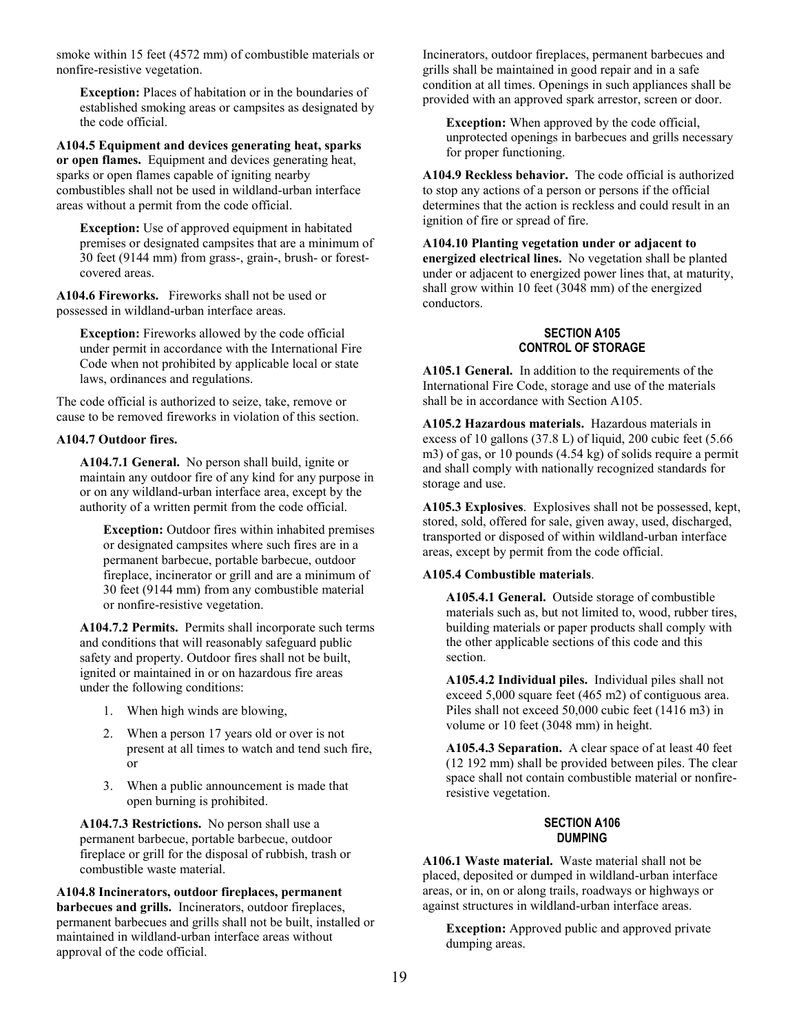smoke within 15 feet (4572 mm) of combustible materials or nonfire-resistive vegetation.

**Exception:** Places of habitation or in the boundaries of established smoking areas or campsites as designated by the code official.

**A104.5 Equipment and devices generating heat, sparks or open flames.** Equipment and devices generating heat, sparks or open flames capable of igniting nearby combustibles shall not be used in wildland-urban interface areas without a permit from the code official.

**Exception:** Use of approved equipment in habitated premises or designated campsites that are a minimum of 30 feet (9144 mm) from grass-, grain-, brush- or forestcovered areas.

**A104.6 Fireworks.** Fireworks shall not be used or possessed in wildland-urban interface areas.

**Exception:** Fireworks allowed by the code official under permit in accordance with the International Fire Code when not prohibited by applicable local or state laws, ordinances and regulations.

The code official is authorized to seize, take, remove or cause to be removed fireworks in violation of this section.

### **A104.7 Outdoor fires.**

**A104.7.1 General.** No person shall build, ignite or maintain any outdoor fire of any kind for any purpose in or on any wildland-urban interface area, except by the authority of a written permit from the code official.

**Exception:** Outdoor fires within inhabited premises or designated campsites where such fires are in a permanent barbecue, portable barbecue, outdoor fireplace, incinerator or grill and are a minimum of 30 feet (9144 mm) from any combustible material or nonfire-resistive vegetation.

**A104.7.2 Permits.** Permits shall incorporate such terms and conditions that will reasonably safeguard public safety and property. Outdoor fires shall not be built, ignited or maintained in or on hazardous fire areas under the following conditions:

- 1. When high winds are blowing,
- 2. When a person 17 years old or over is not present at all times to watch and tend such fire, or
- 3. When a public announcement is made that open burning is prohibited.

**A104.7.3 Restrictions.** No person shall use a permanent barbecue, portable barbecue, outdoor fireplace or grill for the disposal of rubbish, trash or combustible waste material.

**A104.8 Incinerators, outdoor fireplaces, permanent barbecues and grills.** Incinerators, outdoor fireplaces, permanent barbecues and grills shall not be built, installed or maintained in wildland-urban interface areas without approval of the code official.

Incinerators, outdoor fireplaces, permanent barbecues and grills shall be maintained in good repair and in a safe condition at all times. Openings in such appliances shall be provided with an approved spark arrestor, screen or door.

**Exception:** When approved by the code official, unprotected openings in barbecues and grills necessary for proper functioning.

**A104.9 Reckless behavior.** The code official is authorized to stop any actions of a person or persons if the official determines that the action is reckless and could result in an ignition of fire or spread of fire.

**A104.10 Planting vegetation under or adjacent to energized electrical lines.** No vegetation shall be planted under or adjacent to energized power lines that, at maturity, shall grow within 10 feet (3048 mm) of the energized conductors.

### **SECTION A105 CONTROL OF STORAGE**

**A105.1 General.** In addition to the requirements of the International Fire Code, storage and use of the materials shall be in accordance with Section A105.

**A105.2 Hazardous materials.** Hazardous materials in excess of 10 gallons (37.8 L) of liquid, 200 cubic feet (5.66 m3) of gas, or 10 pounds (4.54 kg) of solids require a permit and shall comply with nationally recognized standards for storage and use.

**A105.3 Explosives**. Explosives shall not be possessed, kept, stored, sold, offered for sale, given away, used, discharged, transported or disposed of within wildland-urban interface areas, except by permit from the code official.

### **A105.4 Combustible materials**.

**A105.4.1 General.** Outside storage of combustible materials such as, but not limited to, wood, rubber tires, building materials or paper products shall comply with the other applicable sections of this code and this section.

**A105.4.2 Individual piles.** Individual piles shall not exceed 5,000 square feet (465 m2) of contiguous area. Piles shall not exceed 50,000 cubic feet (1416 m3) in volume or 10 feet (3048 mm) in height.

**A105.4.3 Separation.** A clear space of at least 40 feet (12 192 mm) shall be provided between piles. The clear space shall not contain combustible material or nonfireresistive vegetation.

### **SECTION A106 DUMPING**

**A106.1 Waste material.** Waste material shall not be placed, deposited or dumped in wildland-urban interface areas, or in, on or along trails, roadways or highways or against structures in wildland-urban interface areas.

**Exception:** Approved public and approved private dumping areas.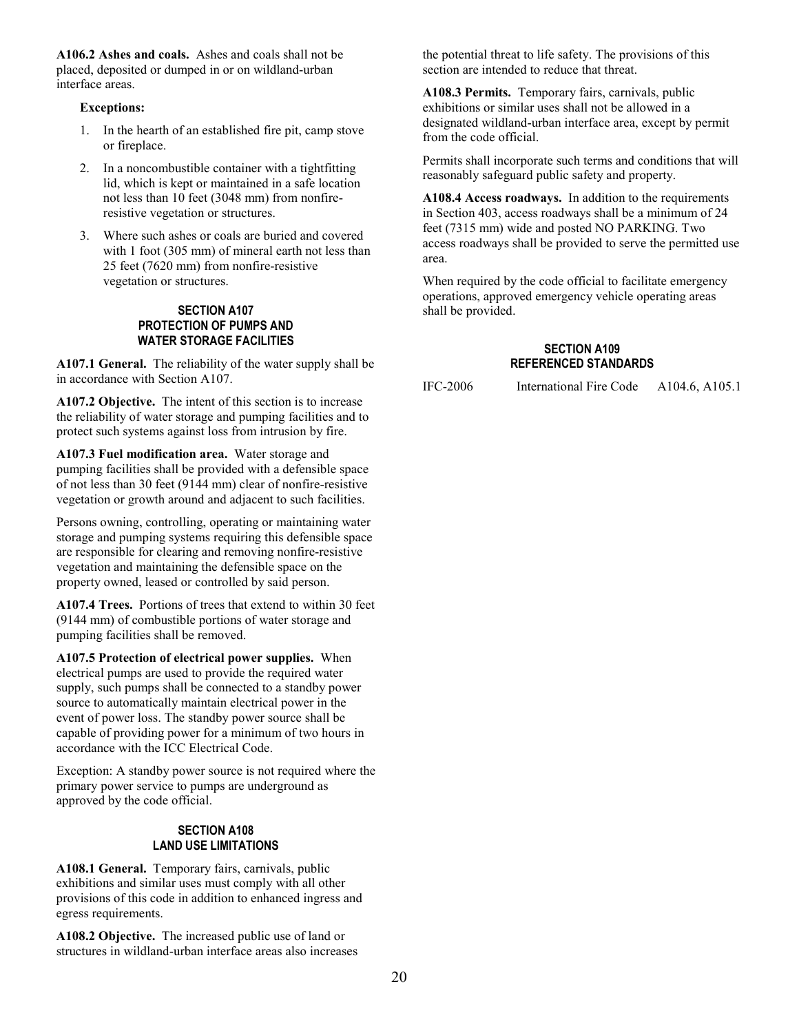**A106.2 Ashes and coals.** Ashes and coals shall not be placed, deposited or dumped in or on wildland-urban interface areas.

### **Exceptions:**

- 1. In the hearth of an established fire pit, camp stove or fireplace.
- 2. In a noncombustible container with a tightfitting lid, which is kept or maintained in a safe location not less than 10 feet (3048 mm) from nonfireresistive vegetation or structures.
- 3. Where such ashes or coals are buried and covered with 1 foot (305 mm) of mineral earth not less than 25 feet (7620 mm) from nonfire-resistive vegetation or structures.

## **SECTION A107 PROTECTION OF PUMPS AND WATER STORAGE FACILITIES**

**A107.1 General.** The reliability of the water supply shall be in accordance with Section A107.

**A107.2 Objective.** The intent of this section is to increase the reliability of water storage and pumping facilities and to protect such systems against loss from intrusion by fire.

**A107.3 Fuel modification area.** Water storage and pumping facilities shall be provided with a defensible space of not less than 30 feet (9144 mm) clear of nonfire-resistive vegetation or growth around and adjacent to such facilities.

Persons owning, controlling, operating or maintaining water storage and pumping systems requiring this defensible space are responsible for clearing and removing nonfire-resistive vegetation and maintaining the defensible space on the property owned, leased or controlled by said person.

**A107.4 Trees.** Portions of trees that extend to within 30 feet (9144 mm) of combustible portions of water storage and pumping facilities shall be removed.

**A107.5 Protection of electrical power supplies.** When electrical pumps are used to provide the required water supply, such pumps shall be connected to a standby power source to automatically maintain electrical power in the event of power loss. The standby power source shall be capable of providing power for a minimum of two hours in accordance with the ICC Electrical Code.

Exception: A standby power source is not required where the primary power service to pumps are underground as approved by the code official.

## **SECTION A108 LAND USE LIMITATIONS**

**A108.1 General.** Temporary fairs, carnivals, public exhibitions and similar uses must comply with all other provisions of this code in addition to enhanced ingress and egress requirements.

**A108.2 Objective.** The increased public use of land or structures in wildland-urban interface areas also increases the potential threat to life safety. The provisions of this section are intended to reduce that threat.

**A108.3 Permits.** Temporary fairs, carnivals, public exhibitions or similar uses shall not be allowed in a designated wildland-urban interface area, except by permit from the code official.

Permits shall incorporate such terms and conditions that will reasonably safeguard public safety and property.

**A108.4 Access roadways.** In addition to the requirements in Section 403, access roadways shall be a minimum of 24 feet (7315 mm) wide and posted NO PARKING. Two access roadways shall be provided to serve the permitted use area.

When required by the code official to facilitate emergency operations, approved emergency vehicle operating areas shall be provided.

### **SECTION A109 REFERENCED STANDARDS**

IFC-2006 International Fire Code A104.6, A105.1